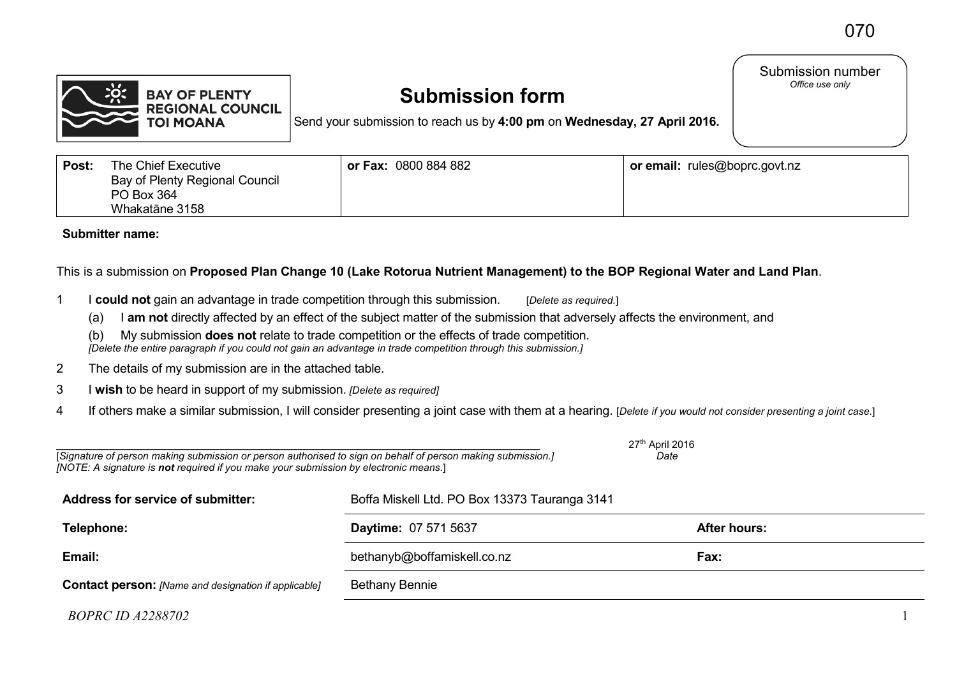

# **Submission form**

Send your submission to reach us by **4:00 pm** on **Wednesday, 27 April 2016.**

Submission number *Office use only* 

| Post: | The Chief Executive<br><b>Bay of Plenty Regional Council</b><br>PO Box 364<br>Whakatāne 3158 | or Fax: 0800 884 882 | or email: rules@boprc.govt.nz |
|-------|----------------------------------------------------------------------------------------------|----------------------|-------------------------------|
|-------|----------------------------------------------------------------------------------------------|----------------------|-------------------------------|

**Submitter name:**

# This is a submission on **Proposed Plan Change 10 (Lake Rotorua Nutrient Management) to the BOP Regional Water and Land Plan**.

- 1 I **could not** gain an advantage in trade competition through this submission. [*Delete as required.*]
	- (a) I **am not** directly affected by an effect of the subject matter of the submission that adversely affects the environment, and

(b) My submission **does not** relate to trade competition or the effects of trade competition. *[Delete the entire paragraph if you could not gain an advantage in trade competition through this submission.]*

- 2 The details of my submission are in the attached table.
- 3 I **wish** to be heard in support of my submission. *[Delete as required]*
- 4 If others make a similar submission, I will consider presenting a joint case with them at a hearing. [*Delete if you would not consider presenting a joint case.*]

| 27 <sup>th</sup> April 2016<br>[Signature of person making submission or person authorised to sign on behalf of person making submission.]<br>Date<br>[NOTE: A signature is not required if you make your submission by electronic means.] |                                               |                     |  |  |  |
|--------------------------------------------------------------------------------------------------------------------------------------------------------------------------------------------------------------------------------------------|-----------------------------------------------|---------------------|--|--|--|
| <b>Address for service of submitter:</b>                                                                                                                                                                                                   | Boffa Miskell Ltd. PO Box 13373 Tauranga 3141 |                     |  |  |  |
| Telephone:                                                                                                                                                                                                                                 | Daytime: 07 571 5637                          | <b>After hours:</b> |  |  |  |
| Email:                                                                                                                                                                                                                                     | bethanyb@boffamiskell.co.nz                   | Fax:                |  |  |  |
| <b>Contact person:</b> [Name and designation if applicable]                                                                                                                                                                                | <b>Bethany Bennie</b>                         |                     |  |  |  |
|                                                                                                                                                                                                                                            |                                               |                     |  |  |  |

*BOPRC ID A2288702* 1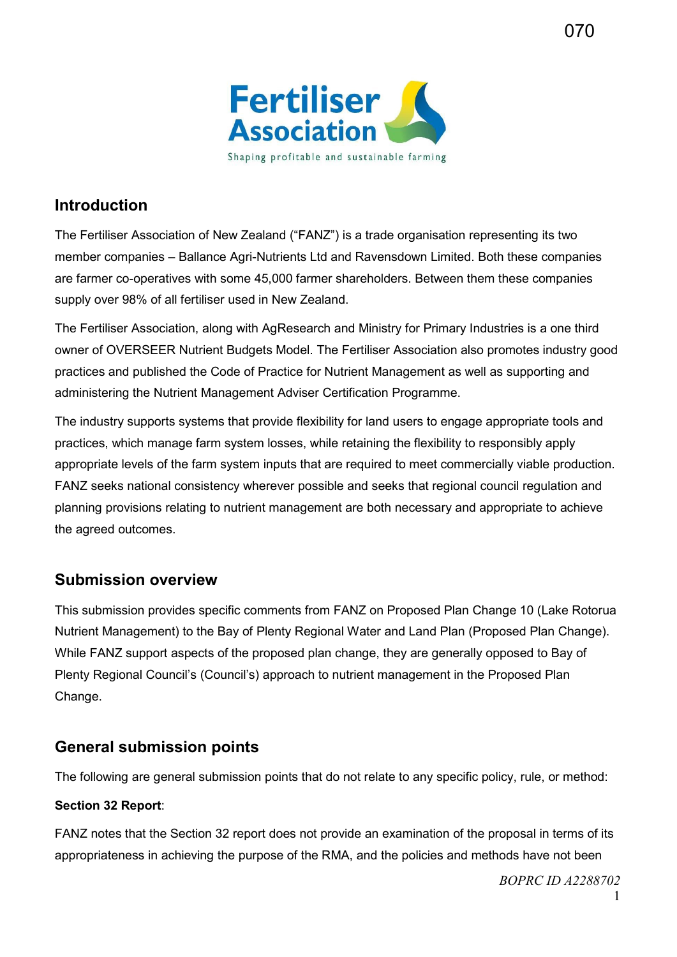

# **Introduction**

The Fertiliser Association of New Zealand ("FANZ") is a trade organisation representing its two member companies – Ballance Agri-Nutrients Ltd and Ravensdown Limited. Both these companies are farmer co-operatives with some 45,000 farmer shareholders. Between them these companies supply over 98% of all fertiliser used in New Zealand.

The Fertiliser Association, along with AgResearch and Ministry for Primary Industries is a one third owner of OVERSEER Nutrient Budgets Model. The Fertiliser Association also promotes industry good practices and published the Code of Practice for Nutrient Management as well as supporting and administering the Nutrient Management Adviser Certification Programme.

The industry supports systems that provide flexibility for land users to engage appropriate tools and practices, which manage farm system losses, while retaining the flexibility to responsibly apply appropriate levels of the farm system inputs that are required to meet commercially viable production. FANZ seeks national consistency wherever possible and seeks that regional council regulation and planning provisions relating to nutrient management are both necessary and appropriate to achieve the agreed outcomes.

# **Submission overview**

This submission provides specific comments from FANZ on Proposed Plan Change 10 (Lake Rotorua Nutrient Management) to the Bay of Plenty Regional Water and Land Plan (Proposed Plan Change). While FANZ support aspects of the proposed plan change, they are generally opposed to Bay of Plenty Regional Council's (Council's) approach to nutrient management in the Proposed Plan Change.

# **General submission points**

The following are general submission points that do not relate to any specific policy, rule, or method:

## **Section 32 Report**:

FANZ notes that the Section 32 report does not provide an examination of the proposal in terms of its appropriateness in achieving the purpose of the RMA, and the policies and methods have not been

070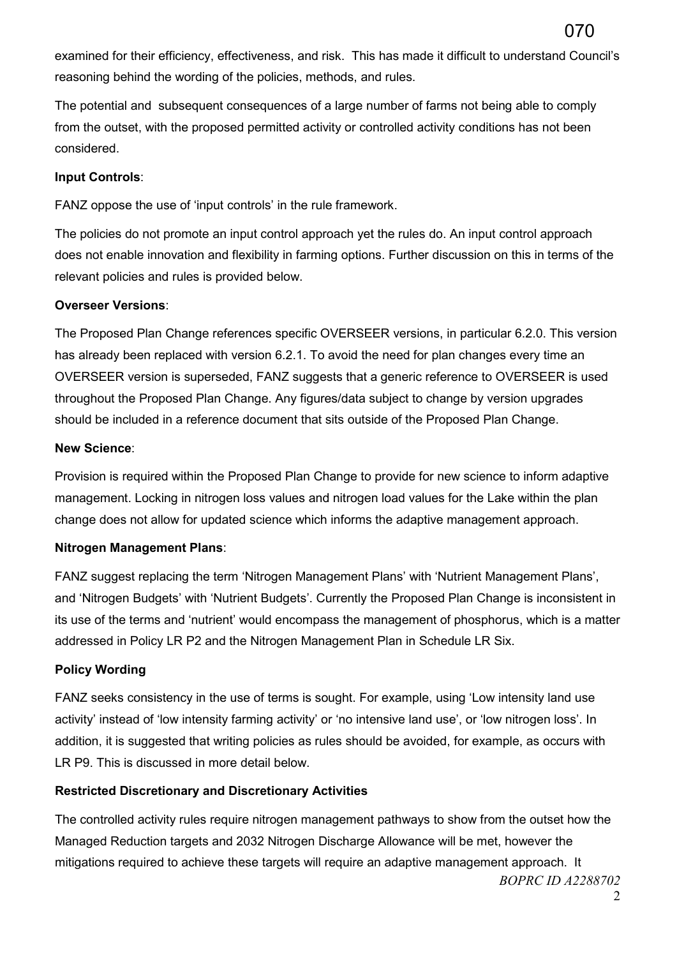examined for their efficiency, effectiveness, and risk. This has made it difficult to understand Council's reasoning behind the wording of the policies, methods, and rules.

The potential and subsequent consequences of a large number of farms not being able to comply from the outset, with the proposed permitted activity or controlled activity conditions has not been considered.

### **Input Controls**:

FANZ oppose the use of 'input controls' in the rule framework.

The policies do not promote an input control approach yet the rules do. An input control approach does not enable innovation and flexibility in farming options. Further discussion on this in terms of the relevant policies and rules is provided below.

#### **Overseer Versions**:

The Proposed Plan Change references specific OVERSEER versions, in particular 6.2.0. This version has already been replaced with version 6.2.1. To avoid the need for plan changes every time an OVERSEER version is superseded, FANZ suggests that a generic reference to OVERSEER is used throughout the Proposed Plan Change. Any figures/data subject to change by version upgrades should be included in a reference document that sits outside of the Proposed Plan Change.

#### **New Science**:

Provision is required within the Proposed Plan Change to provide for new science to inform adaptive management. Locking in nitrogen loss values and nitrogen load values for the Lake within the plan change does not allow for updated science which informs the adaptive management approach.

## **Nitrogen Management Plans**:

FANZ suggest replacing the term 'Nitrogen Management Plans' with 'Nutrient Management Plans', and 'Nitrogen Budgets' with 'Nutrient Budgets'. Currently the Proposed Plan Change is inconsistent in its use of the terms and 'nutrient' would encompass the management of phosphorus, which is a matter addressed in Policy LR P2 and the Nitrogen Management Plan in Schedule LR Six.

## **Policy Wording**

FANZ seeks consistency in the use of terms is sought. For example, using 'Low intensity land use activity' instead of 'low intensity farming activity' or 'no intensive land use', or 'low nitrogen loss'. In addition, it is suggested that writing policies as rules should be avoided, for example, as occurs with LR P9. This is discussed in more detail below.

## **Restricted Discretionary and Discretionary Activities**

The controlled activity rules require nitrogen management pathways to show from the outset how the Managed Reduction targets and 2032 Nitrogen Discharge Allowance will be met, however the mitigations required to achieve these targets will require an adaptive management approach. It

*BOPRC ID A2288702*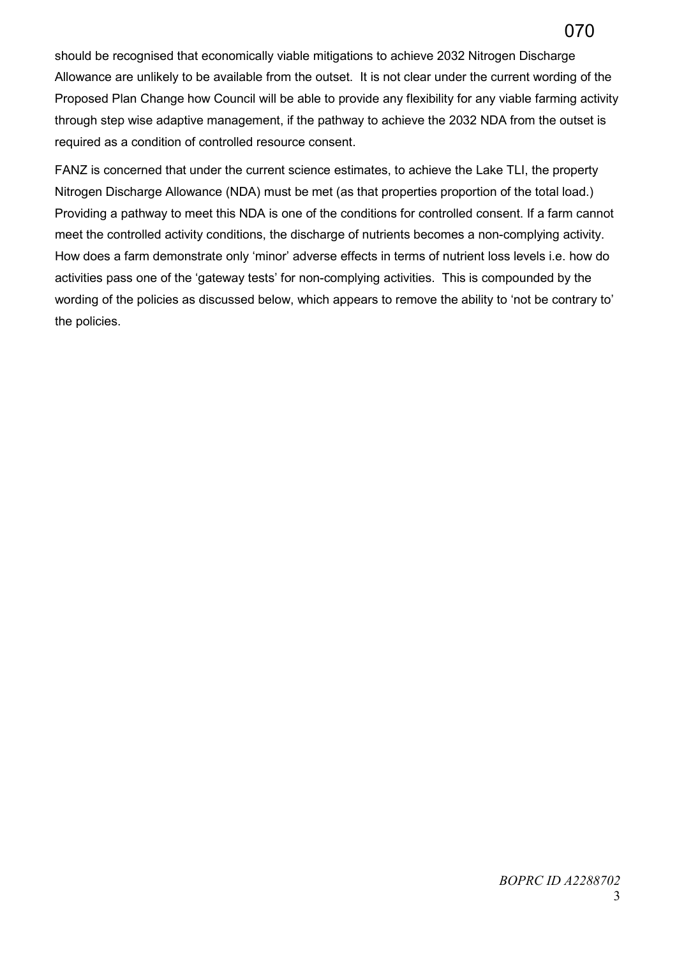should be recognised that economically viable mitigations to achieve 2032 Nitrogen Discharge Allowance are unlikely to be available from the outset. It is not clear under the current wording of the Proposed Plan Change how Council will be able to provide any flexibility for any viable farming activity through step wise adaptive management, if the pathway to achieve the 2032 NDA from the outset is required as a condition of controlled resource consent.

FANZ is concerned that under the current science estimates, to achieve the Lake TLI, the property Nitrogen Discharge Allowance (NDA) must be met (as that properties proportion of the total load.) Providing a pathway to meet this NDA is one of the conditions for controlled consent. If a farm cannot meet the controlled activity conditions, the discharge of nutrients becomes a non-complying activity. How does a farm demonstrate only 'minor' adverse effects in terms of nutrient loss levels i.e. how do activities pass one of the 'gateway tests' for non-complying activities. This is compounded by the wording of the policies as discussed below, which appears to remove the ability to 'not be contrary to' the policies.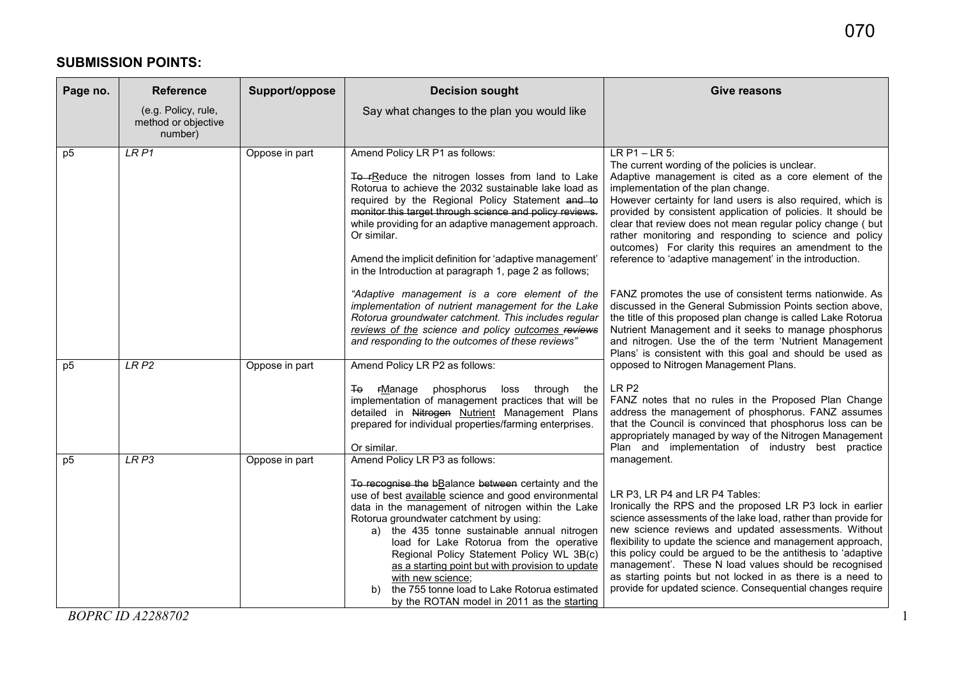# **SUBMISSION POINTS:**

| Page no.                         | <b>Reference</b>                                      | Support/oppose                   | <b>Decision sought</b>                                                                                                                                                                                                                                                                                                                                                                                                                                                                                                             | <b>Give reasons</b>                                                                                                                                                                                                                                                                                                                                                                                                                                                                                                                             |
|----------------------------------|-------------------------------------------------------|----------------------------------|------------------------------------------------------------------------------------------------------------------------------------------------------------------------------------------------------------------------------------------------------------------------------------------------------------------------------------------------------------------------------------------------------------------------------------------------------------------------------------------------------------------------------------|-------------------------------------------------------------------------------------------------------------------------------------------------------------------------------------------------------------------------------------------------------------------------------------------------------------------------------------------------------------------------------------------------------------------------------------------------------------------------------------------------------------------------------------------------|
|                                  | (e.g. Policy, rule,<br>method or objective<br>number) |                                  | Say what changes to the plan you would like                                                                                                                                                                                                                                                                                                                                                                                                                                                                                        |                                                                                                                                                                                                                                                                                                                                                                                                                                                                                                                                                 |
| p <sub>5</sub>                   | LR <sub>P1</sub>                                      | Oppose in part                   | Amend Policy LR P1 as follows:<br>To FReduce the nitrogen losses from land to Lake<br>Rotorua to achieve the 2032 sustainable lake load as<br>required by the Regional Policy Statement and to<br>monitor this target through science and policy reviews.<br>while providing for an adaptive management approach.<br>Or similar.<br>Amend the implicit definition for 'adaptive management'<br>in the Introduction at paragraph 1, page 2 as follows;                                                                              | $LR P1 - LR 5:$<br>The current wording of the policies is unclear.<br>Adaptive management is cited as a core element of the<br>implementation of the plan change.<br>However certainty for land users is also required, which is<br>provided by consistent application of policies. It should be<br>clear that review does not mean regular policy change ( but<br>rather monitoring and responding to science and policy<br>outcomes) For clarity this requires an amendment to the<br>reference to 'adaptive management' in the introduction. |
|                                  |                                                       |                                  | "Adaptive management is a core element of the<br>implementation of nutrient management for the Lake<br>Rotorua groundwater catchment. This includes regular<br>reviews of the science and policy outcomes reviews<br>and responding to the outcomes of these reviews"                                                                                                                                                                                                                                                              | FANZ promotes the use of consistent terms nationwide. As<br>discussed in the General Submission Points section above,<br>the title of this proposed plan change is called Lake Rotorua<br>Nutrient Management and it seeks to manage phosphorus<br>and nitrogen. Use the of the term 'Nutrient Management<br>Plans' is consistent with this goal and should be used as                                                                                                                                                                          |
| p <sub>5</sub><br>p <sub>5</sub> | LRP2<br>LRP3                                          | Oppose in part<br>Oppose in part | Amend Policy LR P2 as follows:<br>Ŧθ<br><b>FManage</b> phosphorus loss through the<br>implementation of management practices that will be<br>detailed in Nitrogen Nutrient Management Plans<br>prepared for individual properties/farming enterprises.<br>Or similar.<br>Amend Policy LR P3 as follows:                                                                                                                                                                                                                            | opposed to Nitrogen Management Plans.<br>LR <sub>P2</sub><br>FANZ notes that no rules in the Proposed Plan Change<br>address the management of phosphorus. FANZ assumes<br>that the Council is convinced that phosphorus loss can be<br>appropriately managed by way of the Nitrogen Management<br>Plan and implementation of industry best practice<br>management.                                                                                                                                                                             |
|                                  |                                                       |                                  | To recognise the bBalance between certainty and the<br>use of best available science and good environmental<br>data in the management of nitrogen within the Lake<br>Rotorua groundwater catchment by using:<br>a) the 435 tonne sustainable annual nitrogen<br>load for Lake Rotorua from the operative<br>Regional Policy Statement Policy WL 3B(c)<br>as a starting point but with provision to update<br>with new science;<br>the 755 tonne load to Lake Rotorua estimated<br>b)<br>by the ROTAN model in 2011 as the starting | LR P3, LR P4 and LR P4 Tables:<br>Ironically the RPS and the proposed LR P3 lock in earlier<br>science assessments of the lake load, rather than provide for<br>new science reviews and updated assessments. Without<br>flexibility to update the science and management approach,<br>this policy could be argued to be the antithesis to 'adaptive<br>management'. These N load values should be recognised<br>as starting points but not locked in as there is a need to<br>provide for updated science. Consequential changes require        |
|                                  | <b>BOPRC ID A2288702</b>                              |                                  |                                                                                                                                                                                                                                                                                                                                                                                                                                                                                                                                    |                                                                                                                                                                                                                                                                                                                                                                                                                                                                                                                                                 |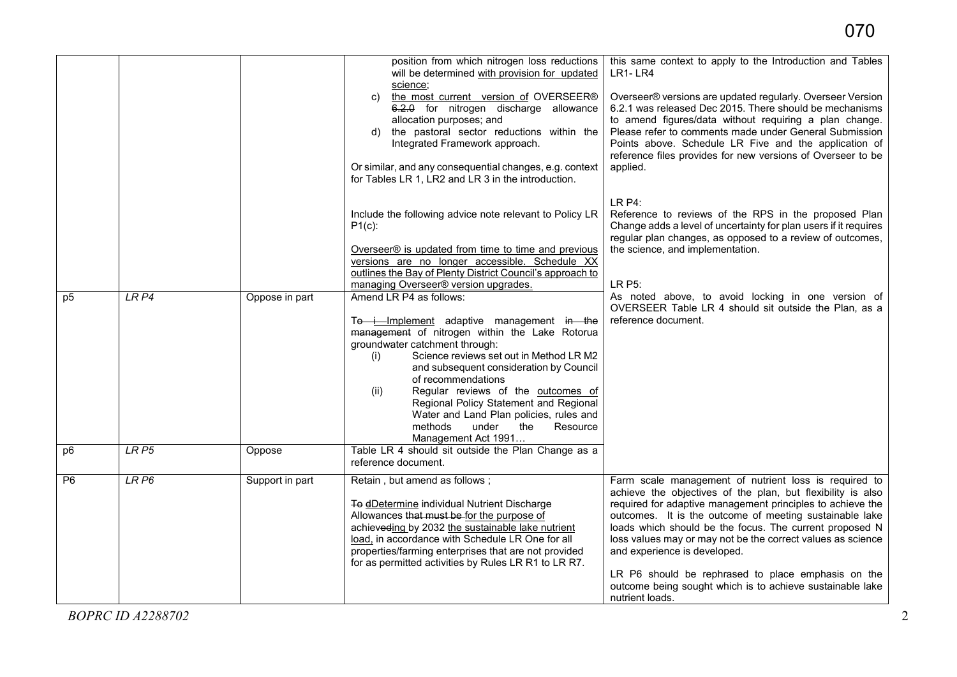|                |                  |                 | position from which nitrogen loss reductions<br>will be determined with provision for updated<br>science:                                                                                                                                                                                                                                                                                                                                                                    | this same context to apply to the Introduction and Tables<br>$LR1-LR4$                                                                                                                                                                                                                                                                                                                                                                                                                                                                        |
|----------------|------------------|-----------------|------------------------------------------------------------------------------------------------------------------------------------------------------------------------------------------------------------------------------------------------------------------------------------------------------------------------------------------------------------------------------------------------------------------------------------------------------------------------------|-----------------------------------------------------------------------------------------------------------------------------------------------------------------------------------------------------------------------------------------------------------------------------------------------------------------------------------------------------------------------------------------------------------------------------------------------------------------------------------------------------------------------------------------------|
|                |                  |                 | the most current version of OVERSEER®<br>C)<br>6.2.0 for nitrogen discharge allowance<br>allocation purposes; and<br>d) the pastoral sector reductions within the<br>Integrated Framework approach.<br>Or similar, and any consequential changes, e.g. context<br>for Tables LR 1, LR2 and LR 3 in the introduction.                                                                                                                                                         | Overseer® versions are updated regularly. Overseer Version<br>6.2.1 was released Dec 2015. There should be mechanisms<br>to amend figures/data without requiring a plan change.<br>Please refer to comments made under General Submission<br>Points above. Schedule LR Five and the application of<br>reference files provides for new versions of Overseer to be<br>applied.                                                                                                                                                                 |
|                |                  |                 | Include the following advice note relevant to Policy LR<br>$P1(c)$ :<br>Overseer® is updated from time to time and previous<br>versions are no longer accessible. Schedule XX<br>outlines the Bay of Plenty District Council's approach to                                                                                                                                                                                                                                   | <b>LR P4:</b><br>Reference to reviews of the RPS in the proposed Plan<br>Change adds a level of uncertainty for plan users if it requires<br>regular plan changes, as opposed to a review of outcomes,<br>the science, and implementation.                                                                                                                                                                                                                                                                                                    |
|                |                  |                 | managing Overseer® version upgrades.                                                                                                                                                                                                                                                                                                                                                                                                                                         | LR P5:                                                                                                                                                                                                                                                                                                                                                                                                                                                                                                                                        |
| p <sub>5</sub> | LRP4             | Oppose in part  | Amend LR P4 as follows:<br>Te i Implement adaptive management in the<br>management of nitrogen within the Lake Rotorua<br>groundwater catchment through:<br>Science reviews set out in Method LR M2<br>(i)<br>and subsequent consideration by Council<br>of recommendations<br>Regular reviews of the outcomes of<br>(ii)<br>Regional Policy Statement and Regional<br>Water and Land Plan policies, rules and<br>methods<br>under<br>the<br>Resource<br>Management Act 1991 | As noted above, to avoid locking in one version of<br>OVERSEER Table LR 4 should sit outside the Plan, as a<br>reference document.                                                                                                                                                                                                                                                                                                                                                                                                            |
| p <sub>6</sub> | LR <sub>P5</sub> | Oppose          | Table LR 4 should sit outside the Plan Change as a<br>reference document.                                                                                                                                                                                                                                                                                                                                                                                                    |                                                                                                                                                                                                                                                                                                                                                                                                                                                                                                                                               |
| P6             | LR <sub>P6</sub> | Support in part | Retain, but amend as follows;<br>To dDetermine individual Nutrient Discharge<br>Allowances that must be for the purpose of<br>achieveding by 2032 the sustainable lake nutrient<br>load, in accordance with Schedule LR One for all<br>properties/farming enterprises that are not provided<br>for as permitted activities by Rules LR R1 to LR R7.                                                                                                                          | Farm scale management of nutrient loss is required to<br>achieve the objectives of the plan, but flexibility is also<br>required for adaptive management principles to achieve the<br>outcomes. It is the outcome of meeting sustainable lake<br>loads which should be the focus. The current proposed N<br>loss values may or may not be the correct values as science<br>and experience is developed.<br>LR P6 should be rephrased to place emphasis on the<br>outcome being sought which is to achieve sustainable lake<br>nutrient loads. |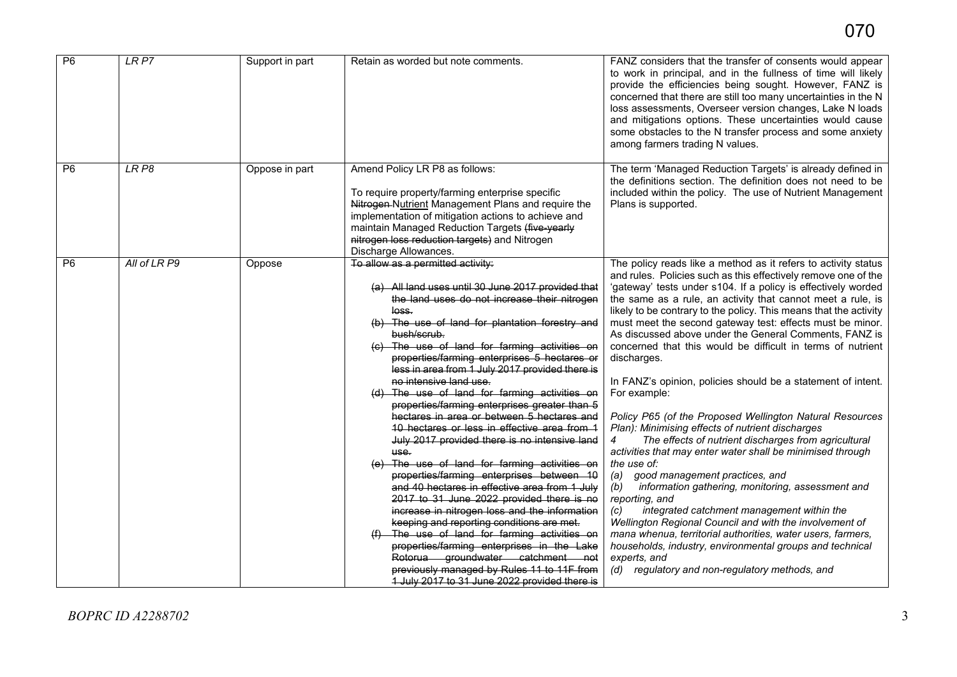| P6             | LRP7         | Support in part | Retain as worded but note comments.                                                                                                                                                                                                                                                                                                                                                                                                                                                                                                                                                                                                                                                                                                                                                                                                                                                                                                                                                                                                                                                                                                                                                                          | FANZ considers that the transfer of consents would appear<br>to work in principal, and in the fullness of time will likely<br>provide the efficiencies being sought. However, FANZ is<br>concerned that there are still too many uncertainties in the N<br>loss assessments, Overseer version changes, Lake N loads<br>and mitigations options. These uncertainties would cause<br>some obstacles to the N transfer process and some anxiety<br>among farmers trading N values.                                                                                                                                                                                                                                                                                                                                                                                                                                                                                                                                                                                                                                                                                                                                                                                                                                     |
|----------------|--------------|-----------------|--------------------------------------------------------------------------------------------------------------------------------------------------------------------------------------------------------------------------------------------------------------------------------------------------------------------------------------------------------------------------------------------------------------------------------------------------------------------------------------------------------------------------------------------------------------------------------------------------------------------------------------------------------------------------------------------------------------------------------------------------------------------------------------------------------------------------------------------------------------------------------------------------------------------------------------------------------------------------------------------------------------------------------------------------------------------------------------------------------------------------------------------------------------------------------------------------------------|---------------------------------------------------------------------------------------------------------------------------------------------------------------------------------------------------------------------------------------------------------------------------------------------------------------------------------------------------------------------------------------------------------------------------------------------------------------------------------------------------------------------------------------------------------------------------------------------------------------------------------------------------------------------------------------------------------------------------------------------------------------------------------------------------------------------------------------------------------------------------------------------------------------------------------------------------------------------------------------------------------------------------------------------------------------------------------------------------------------------------------------------------------------------------------------------------------------------------------------------------------------------------------------------------------------------|
| P <sub>6</sub> | LR P8        | Oppose in part  | Amend Policy LR P8 as follows:<br>To require property/farming enterprise specific<br>Nitrogen-Nutrient Management Plans and require the<br>implementation of mitigation actions to achieve and<br>maintain Managed Reduction Targets (five-yearly<br>nitrogen loss reduction targets) and Nitrogen<br>Discharge Allowances.                                                                                                                                                                                                                                                                                                                                                                                                                                                                                                                                                                                                                                                                                                                                                                                                                                                                                  | The term 'Managed Reduction Targets' is already defined in<br>the definitions section. The definition does not need to be<br>included within the policy. The use of Nutrient Management<br>Plans is supported.                                                                                                                                                                                                                                                                                                                                                                                                                                                                                                                                                                                                                                                                                                                                                                                                                                                                                                                                                                                                                                                                                                      |
| P <sub>6</sub> | All of LR P9 | Oppose          | To allow as a permitted activity:<br>(a) All land uses until 30 June 2017 provided that<br>the land uses do not increase their nitrogen<br><del>loss.</del><br>(b) The use of land for plantation forestry and<br>bush/scrub.<br>(c) The use of land for farming activities on<br>properties/farming enterprises 5 hectares or<br>less in area from 1 July 2017 provided there is<br>no intensive land use.<br>(d) The use of land for farming activities on<br>properties/farming enterprises greater than 5<br>hectares in area or between 5 hectares and<br>10 hectares or less in effective area from 1<br>July 2017 provided there is no intensive land<br>use.<br>(e) The use of land for farming activities on<br>properties/farming enterprises between 10<br>and 40 hectares in effective area from 1 July<br>2017 to 31 June 2022 provided there is no<br>increase in nitrogen loss and the information<br>keeping and reporting conditions are met.<br>The use of land for farming activities on<br>properties/farming enterprises in the Lake<br>Rotorua groundwater catchment<br><del>no</del> t<br>previously managed by Rules 11 to 11F from<br>1 July 2017 to 31 June 2022 provided there is | The policy reads like a method as it refers to activity status<br>and rules. Policies such as this effectively remove one of the<br>'gateway' tests under s104. If a policy is effectively worded<br>the same as a rule, an activity that cannot meet a rule, is<br>likely to be contrary to the policy. This means that the activity<br>must meet the second gateway test: effects must be minor.<br>As discussed above under the General Comments, FANZ is<br>concerned that this would be difficult in terms of nutrient<br>discharges.<br>In FANZ's opinion, policies should be a statement of intent.<br>For example:<br>Policy P65 (of the Proposed Wellington Natural Resources<br>Plan): Minimising effects of nutrient discharges<br>The effects of nutrient discharges from agricultural<br>activities that may enter water shall be minimised through<br>the use of:<br>(a)<br>good management practices, and<br>information gathering, monitoring, assessment and<br>(b)<br>reporting, and<br>integrated catchment management within the<br>(c)<br>Wellington Regional Council and with the involvement of<br>mana whenua, territorial authorities, water users, farmers,<br>households, industry, environmental groups and technical<br>experts, and<br>(d) regulatory and non-regulatory methods, and |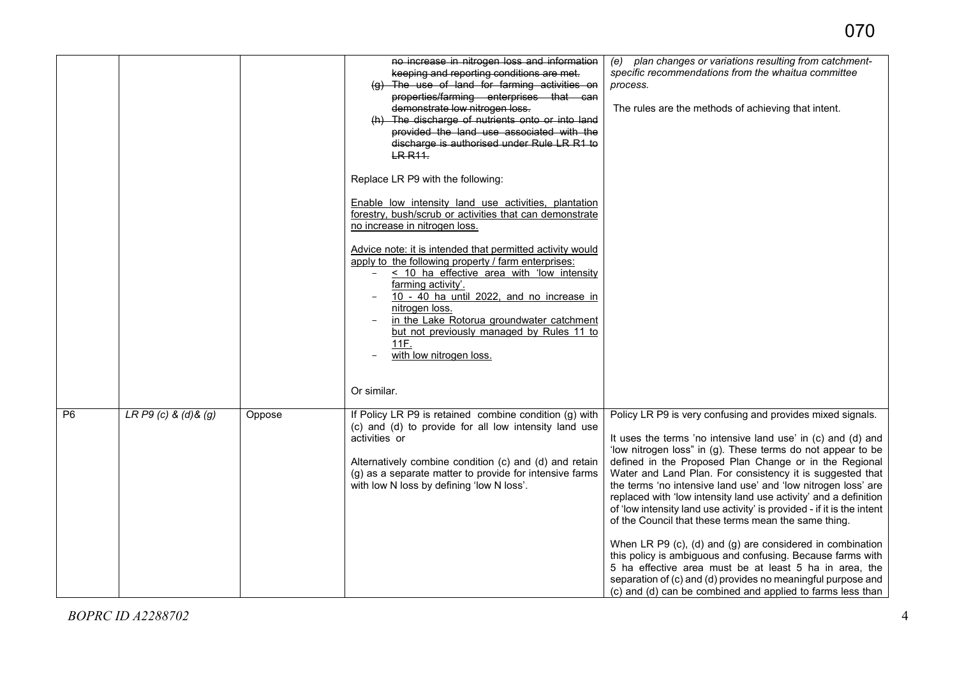| no increase in nitrogen loss and information<br>keeping and reporting conditions are met.                                                                                                                                                                                                                                                                                               | (e) plan changes or variations resulting from catchment-<br>specific recommendations from the whaitua committee                                                                                                                                                                                                                                                                                                                                                                                                                                                                                                                                                                                                                                                                                                                                                                                            |
|-----------------------------------------------------------------------------------------------------------------------------------------------------------------------------------------------------------------------------------------------------------------------------------------------------------------------------------------------------------------------------------------|------------------------------------------------------------------------------------------------------------------------------------------------------------------------------------------------------------------------------------------------------------------------------------------------------------------------------------------------------------------------------------------------------------------------------------------------------------------------------------------------------------------------------------------------------------------------------------------------------------------------------------------------------------------------------------------------------------------------------------------------------------------------------------------------------------------------------------------------------------------------------------------------------------|
| (g) The use of land for farming activities on<br>process.<br>properties/farming enterprises that can<br>demonstrate low nitrogen loss.<br>(h) The discharge of nutrients onto or into land<br>provided the land use associated with the<br>discharge is authorised under Rule LR R1 to<br><b>LR R11</b> .                                                                               | The rules are the methods of achieving that intent.                                                                                                                                                                                                                                                                                                                                                                                                                                                                                                                                                                                                                                                                                                                                                                                                                                                        |
| Replace LR P9 with the following:                                                                                                                                                                                                                                                                                                                                                       |                                                                                                                                                                                                                                                                                                                                                                                                                                                                                                                                                                                                                                                                                                                                                                                                                                                                                                            |
| Enable low intensity land use activities, plantation<br>forestry, bush/scrub or activities that can demonstrate<br>no increase in nitrogen loss.                                                                                                                                                                                                                                        |                                                                                                                                                                                                                                                                                                                                                                                                                                                                                                                                                                                                                                                                                                                                                                                                                                                                                                            |
| Advice note: it is intended that permitted activity would<br>apply to the following property / farm enterprises:<br>< 10 ha effective area with 'low intensity<br>$-$<br>farming activity'.<br>10 - 40 ha until 2022, and no increase in<br>nitrogen loss.<br>in the Lake Rotorua groundwater catchment<br>but not previously managed by Rules 11 to<br>11F.<br>with low nitrogen loss. |                                                                                                                                                                                                                                                                                                                                                                                                                                                                                                                                                                                                                                                                                                                                                                                                                                                                                                            |
| Or similar.                                                                                                                                                                                                                                                                                                                                                                             |                                                                                                                                                                                                                                                                                                                                                                                                                                                                                                                                                                                                                                                                                                                                                                                                                                                                                                            |
| LR P9 (c) & (d) & (g)<br>P <sub>6</sub><br>If Policy LR P9 is retained combine condition (g) with<br>Oppose<br>(c) and (d) to provide for all low intensity land use<br>activities or<br>Alternatively combine condition (c) and (d) and retain<br>(g) as a separate matter to provide for intensive farms<br>with low N loss by defining 'low N loss'.                                 | Policy LR P9 is very confusing and provides mixed signals.<br>It uses the terms 'no intensive land use' in (c) and (d) and<br>'low nitrogen loss" in (g). These terms do not appear to be<br>defined in the Proposed Plan Change or in the Regional<br>Water and Land Plan. For consistency it is suggested that<br>the terms 'no intensive land use' and 'low nitrogen loss' are<br>replaced with 'low intensity land use activity' and a definition<br>of 'low intensity land use activity' is provided - if it is the intent<br>of the Council that these terms mean the same thing.<br>When LR P9 (c), (d) and (g) are considered in combination<br>this policy is ambiguous and confusing. Because farms with<br>5 ha effective area must be at least 5 ha in area, the<br>separation of (c) and (d) provides no meaningful purpose and<br>(c) and (d) can be combined and applied to farms less than |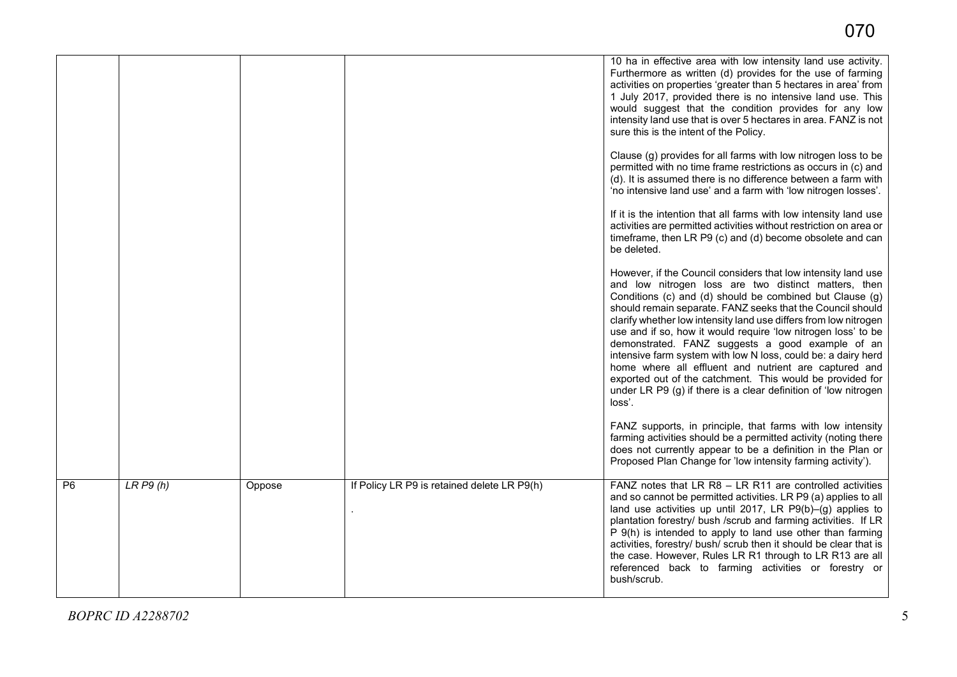|                |         |        |                                             | 10 ha in effective area with low intensity land use activity.<br>Furthermore as written (d) provides for the use of farming<br>activities on properties 'greater than 5 hectares in area' from<br>1 July 2017, provided there is no intensive land use. This<br>would suggest that the condition provides for any low<br>intensity land use that is over 5 hectares in area. FANZ is not<br>sure this is the intent of the Policy.<br>Clause (g) provides for all farms with low nitrogen loss to be                                                                                                                                                                                                         |
|----------------|---------|--------|---------------------------------------------|--------------------------------------------------------------------------------------------------------------------------------------------------------------------------------------------------------------------------------------------------------------------------------------------------------------------------------------------------------------------------------------------------------------------------------------------------------------------------------------------------------------------------------------------------------------------------------------------------------------------------------------------------------------------------------------------------------------|
|                |         |        |                                             | permitted with no time frame restrictions as occurs in (c) and<br>(d). It is assumed there is no difference between a farm with<br>'no intensive land use' and a farm with 'low nitrogen losses'.                                                                                                                                                                                                                                                                                                                                                                                                                                                                                                            |
|                |         |        |                                             | If it is the intention that all farms with low intensity land use<br>activities are permitted activities without restriction on area or<br>timeframe, then LR P9 (c) and (d) become obsolete and can<br>be deleted.                                                                                                                                                                                                                                                                                                                                                                                                                                                                                          |
|                |         |        |                                             | However, if the Council considers that low intensity land use<br>and low nitrogen loss are two distinct matters, then<br>Conditions (c) and (d) should be combined but Clause (g)<br>should remain separate. FANZ seeks that the Council should<br>clarify whether low intensity land use differs from low nitrogen<br>use and if so, how it would require 'low nitrogen loss' to be<br>demonstrated. FANZ suggests a good example of an<br>intensive farm system with low N loss, could be: a dairy herd<br>home where all effluent and nutrient are captured and<br>exported out of the catchment. This would be provided for<br>under LR P9 (g) if there is a clear definition of 'low nitrogen<br>loss'. |
|                |         |        |                                             | FANZ supports, in principle, that farms with low intensity<br>farming activities should be a permitted activity (noting there<br>does not currently appear to be a definition in the Plan or<br>Proposed Plan Change for 'low intensity farming activity').                                                                                                                                                                                                                                                                                                                                                                                                                                                  |
| P <sub>6</sub> | LRP9(h) | Oppose | If Policy LR P9 is retained delete LR P9(h) | FANZ notes that LR R8 - LR R11 are controlled activities<br>and so cannot be permitted activities. LR P9 (a) applies to all<br>land use activities up until 2017, LR $P9(b)$ –(g) applies to<br>plantation forestry/ bush /scrub and farming activities. If LR<br>P 9(h) is intended to apply to land use other than farming<br>activities, forestry/ bush/ scrub then it should be clear that is<br>the case. However, Rules LR R1 through to LR R13 are all<br>referenced back to farming activities or forestry or<br>bush/scrub.                                                                                                                                                                         |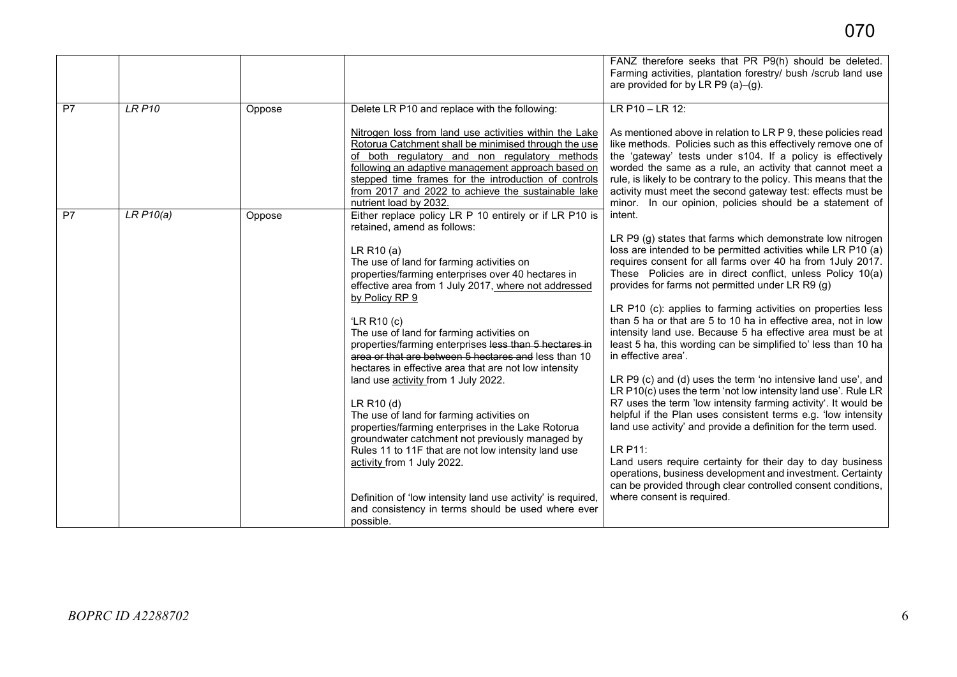|    |               |        |                                                                                                                                                                                                                                                                                                                                                                                                                                                                                                                                                                                                                                                                                                                                                                                                                                                                                                                                                                          | FANZ therefore seeks that PR P9(h) should be deleted.<br>Farming activities, plantation forestry/ bush /scrub land use<br>are provided for by LR P9 (a)-(g).                                                                                                                                                                                                                                                                                                                                                                                                                                                                                                                                                                                                                                                                                                                                                                                                                                                                                                                                                                                                                               |
|----|---------------|--------|--------------------------------------------------------------------------------------------------------------------------------------------------------------------------------------------------------------------------------------------------------------------------------------------------------------------------------------------------------------------------------------------------------------------------------------------------------------------------------------------------------------------------------------------------------------------------------------------------------------------------------------------------------------------------------------------------------------------------------------------------------------------------------------------------------------------------------------------------------------------------------------------------------------------------------------------------------------------------|--------------------------------------------------------------------------------------------------------------------------------------------------------------------------------------------------------------------------------------------------------------------------------------------------------------------------------------------------------------------------------------------------------------------------------------------------------------------------------------------------------------------------------------------------------------------------------------------------------------------------------------------------------------------------------------------------------------------------------------------------------------------------------------------------------------------------------------------------------------------------------------------------------------------------------------------------------------------------------------------------------------------------------------------------------------------------------------------------------------------------------------------------------------------------------------------|
| P7 | <b>LR P10</b> | Oppose | Delete LR P10 and replace with the following:<br>Nitrogen loss from land use activities within the Lake<br>Rotorua Catchment shall be minimised through the use<br>of both regulatory and non regulatory methods<br>following an adaptive management approach based on<br>stepped time frames for the introduction of controls<br>from 2017 and 2022 to achieve the sustainable lake<br>nutrient load by 2032.                                                                                                                                                                                                                                                                                                                                                                                                                                                                                                                                                           | LR P10 - LR 12:<br>As mentioned above in relation to LR P 9, these policies read<br>like methods. Policies such as this effectively remove one of<br>the 'gateway' tests under s104. If a policy is effectively<br>worded the same as a rule, an activity that cannot meet a<br>rule, is likely to be contrary to the policy. This means that the<br>activity must meet the second gateway test: effects must be<br>minor. In our opinion, policies should be a statement of                                                                                                                                                                                                                                                                                                                                                                                                                                                                                                                                                                                                                                                                                                               |
| P7 | LRP10(a)      | Oppose | Either replace policy LR P 10 entirely or if LR P10 is<br>retained, amend as follows:<br>LR R10 (a)<br>The use of land for farming activities on<br>properties/farming enterprises over 40 hectares in<br>effective area from 1 July 2017, where not addressed<br>by Policy RP 9<br>'LR R <sub>10</sub> $(c)$<br>The use of land for farming activities on<br>properties/farming enterprises less than 5 hectares in<br>area or that are between 5 hectares and less than 10<br>hectares in effective area that are not low intensity<br>land use activity from 1 July 2022.<br>LR R10 (d)<br>The use of land for farming activities on<br>properties/farming enterprises in the Lake Rotorua<br>groundwater catchment not previously managed by<br>Rules 11 to 11F that are not low intensity land use<br>activity from 1 July 2022.<br>Definition of 'low intensity land use activity' is required,<br>and consistency in terms should be used where ever<br>possible. | intent.<br>LR P9 (g) states that farms which demonstrate low nitrogen<br>loss are intended to be permitted activities while LR P10 (a)<br>requires consent for all farms over 40 ha from 1July 2017.<br>These Policies are in direct conflict, unless Policy 10(a)<br>provides for farms not permitted under LR R9 (g)<br>LR P10 (c): applies to farming activities on properties less<br>than 5 ha or that are 5 to 10 ha in effective area, not in low<br>intensity land use. Because 5 ha effective area must be at<br>least 5 ha, this wording can be simplified to' less than 10 ha<br>in effective area'.<br>LR P9 (c) and (d) uses the term 'no intensive land use', and<br>LR P10(c) uses the term 'not low intensity land use'. Rule LR<br>R7 uses the term 'low intensity farming activity'. It would be<br>helpful if the Plan uses consistent terms e.g. 'low intensity<br>land use activity' and provide a definition for the term used.<br>LR P11:<br>Land users require certainty for their day to day business<br>operations, business development and investment. Certainty<br>can be provided through clear controlled consent conditions,<br>where consent is required. |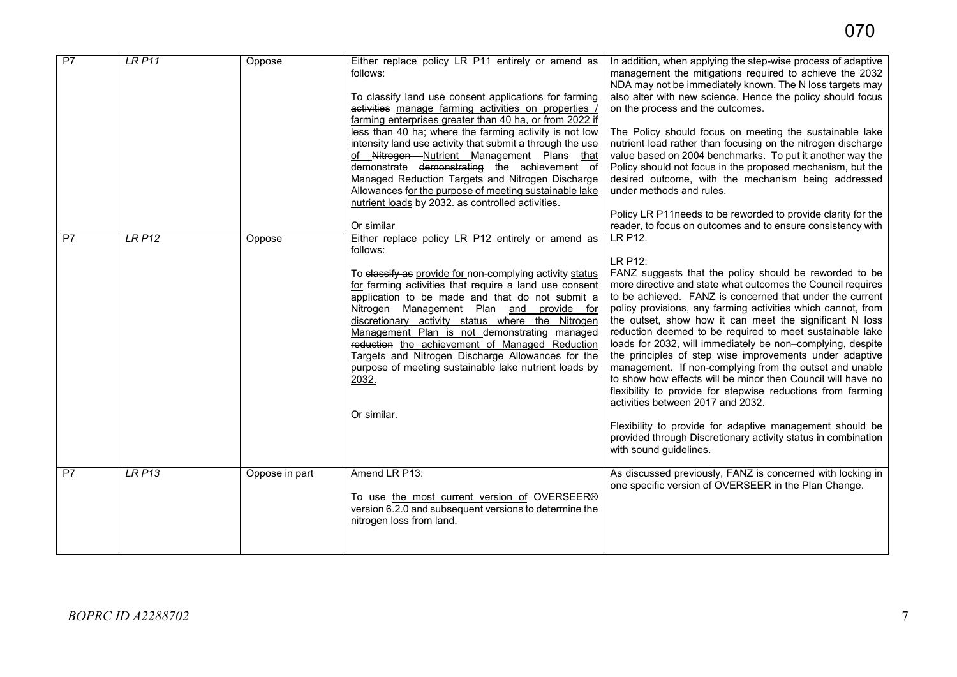| P7              | <b>LR P11</b> | Oppose         | Either replace policy LR P11 entirely or amend as<br>follows:<br>To classify land use consent applications for farming<br>activities manage farming activities on properties /<br>farming enterprises greater than 40 ha, or from 2022 if<br>less than 40 ha; where the farming activity is not low<br>intensity land use activity that submit a through the use<br>of Nitrogen Nutrient Management Plans that<br>demonstrate demonstrating the achievement of<br>Managed Reduction Targets and Nitrogen Discharge<br>Allowances for the purpose of meeting sustainable lake<br>nutrient loads by 2032. as controlled activities.<br>Or similar | In addition, when applying the step-wise process of adaptive<br>management the mitigations required to achieve the 2032<br>NDA may not be immediately known. The N loss targets may<br>also alter with new science. Hence the policy should focus<br>on the process and the outcomes.<br>The Policy should focus on meeting the sustainable lake<br>nutrient load rather than focusing on the nitrogen discharge<br>value based on 2004 benchmarks. To put it another way the<br>Policy should not focus in the proposed mechanism, but the<br>desired outcome, with the mechanism being addressed<br>under methods and rules.<br>Policy LR P11needs to be reworded to provide clarity for the<br>reader, to focus on outcomes and to ensure consistency with                                                                                                                                                |
|-----------------|---------------|----------------|-------------------------------------------------------------------------------------------------------------------------------------------------------------------------------------------------------------------------------------------------------------------------------------------------------------------------------------------------------------------------------------------------------------------------------------------------------------------------------------------------------------------------------------------------------------------------------------------------------------------------------------------------|--------------------------------------------------------------------------------------------------------------------------------------------------------------------------------------------------------------------------------------------------------------------------------------------------------------------------------------------------------------------------------------------------------------------------------------------------------------------------------------------------------------------------------------------------------------------------------------------------------------------------------------------------------------------------------------------------------------------------------------------------------------------------------------------------------------------------------------------------------------------------------------------------------------|
| $\overline{P7}$ | <b>LR P12</b> | Oppose         | Either replace policy LR P12 entirely or amend as<br>follows:<br>To classify as provide for non-complying activity status<br>for farming activities that require a land use consent<br>application to be made and that do not submit a<br>Nitrogen Management Plan and provide for<br>discretionary activity status where the Nitrogen<br>Management Plan is not demonstrating managed<br>reduction the achievement of Managed Reduction<br>Targets and Nitrogen Discharge Allowances for the<br>purpose of meeting sustainable lake nutrient loads by<br>2032.<br>Or similar.                                                                  | LR P12.<br>LR P12:<br>FANZ suggests that the policy should be reworded to be<br>more directive and state what outcomes the Council requires<br>to be achieved. FANZ is concerned that under the current<br>policy provisions, any farming activities which cannot, from<br>the outset, show how it can meet the significant N loss<br>reduction deemed to be required to meet sustainable lake<br>loads for 2032, will immediately be non-complying, despite<br>the principles of step wise improvements under adaptive<br>management. If non-complying from the outset and unable<br>to show how effects will be minor then Council will have no<br>flexibility to provide for stepwise reductions from farming<br>activities between 2017 and 2032.<br>Flexibility to provide for adaptive management should be<br>provided through Discretionary activity status in combination<br>with sound guidelines. |
| P <sub>7</sub>  | <b>LR P13</b> | Oppose in part | Amend LR P13:<br>To use the most current version of OVERSEER®<br>version 6.2.0 and subsequent versions to determine the<br>nitrogen loss from land.                                                                                                                                                                                                                                                                                                                                                                                                                                                                                             | As discussed previously, FANZ is concerned with locking in<br>one specific version of OVERSEER in the Plan Change.                                                                                                                                                                                                                                                                                                                                                                                                                                                                                                                                                                                                                                                                                                                                                                                           |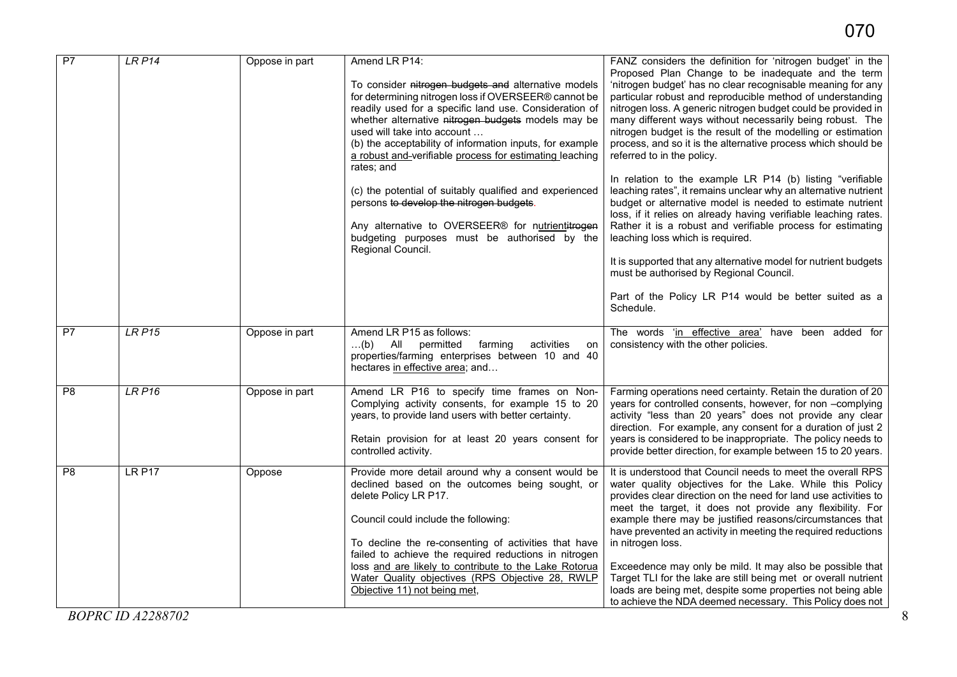| P7              | LRP14                    | Oppose in part | Amend LR P14:<br>To consider nitrogen budgets and alternative models<br>for determining nitrogen loss if OVERSEER® cannot be<br>readily used for a specific land use. Consideration of<br>whether alternative nitrogen budgets models may be<br>used will take into account<br>(b) the acceptability of information inputs, for example<br>a robust and-verifiable process for estimating leaching<br>rates; and<br>(c) the potential of suitably qualified and experienced<br>persons to develop the nitrogen budgets.<br>Any alternative to OVERSEER® for nutrientitrogen<br>budgeting purposes must be authorised by the<br>Regional Council. | FANZ considers the definition for 'nitrogen budget' in the<br>Proposed Plan Change to be inadequate and the term<br>'nitrogen budget' has no clear recognisable meaning for any<br>particular robust and reproducible method of understanding<br>nitrogen loss. A generic nitrogen budget could be provided in<br>many different ways without necessarily being robust. The<br>nitrogen budget is the result of the modelling or estimation<br>process, and so it is the alternative process which should be<br>referred to in the policy.<br>In relation to the example LR P14 (b) listing "verifiable<br>leaching rates", it remains unclear why an alternative nutrient<br>budget or alternative model is needed to estimate nutrient<br>loss, if it relies on already having verifiable leaching rates.<br>Rather it is a robust and verifiable process for estimating<br>leaching loss which is required.<br>It is supported that any alternative model for nutrient budgets<br>must be authorised by Regional Council.<br>Part of the Policy LR P14 would be better suited as a<br>Schedule. |
|-----------------|--------------------------|----------------|--------------------------------------------------------------------------------------------------------------------------------------------------------------------------------------------------------------------------------------------------------------------------------------------------------------------------------------------------------------------------------------------------------------------------------------------------------------------------------------------------------------------------------------------------------------------------------------------------------------------------------------------------|----------------------------------------------------------------------------------------------------------------------------------------------------------------------------------------------------------------------------------------------------------------------------------------------------------------------------------------------------------------------------------------------------------------------------------------------------------------------------------------------------------------------------------------------------------------------------------------------------------------------------------------------------------------------------------------------------------------------------------------------------------------------------------------------------------------------------------------------------------------------------------------------------------------------------------------------------------------------------------------------------------------------------------------------------------------------------------------------------|
| P7              | LRP15                    | Oppose in part | Amend LR P15 as follows:<br>permitted<br>$\dots(b)$<br>All<br>farming<br>activities<br>on<br>properties/farming enterprises between 10 and 40<br>hectares in effective area; and                                                                                                                                                                                                                                                                                                                                                                                                                                                                 | The words 'in effective area' have been added for<br>consistency with the other policies.                                                                                                                                                                                                                                                                                                                                                                                                                                                                                                                                                                                                                                                                                                                                                                                                                                                                                                                                                                                                          |
| $\overline{P8}$ | LRP16                    | Oppose in part | Amend LR P16 to specify time frames on Non-<br>Complying activity consents, for example 15 to 20<br>years, to provide land users with better certainty.<br>Retain provision for at least 20 years consent for<br>controlled activity.                                                                                                                                                                                                                                                                                                                                                                                                            | Farming operations need certainty. Retain the duration of 20<br>years for controlled consents, however, for non -complying<br>activity "less than 20 years" does not provide any clear<br>direction. For example, any consent for a duration of just 2<br>years is considered to be inappropriate. The policy needs to<br>provide better direction, for example between 15 to 20 years.                                                                                                                                                                                                                                                                                                                                                                                                                                                                                                                                                                                                                                                                                                            |
| P8              | <b>LR P17</b>            | Oppose         | Provide more detail around why a consent would be<br>declined based on the outcomes being sought, or<br>delete Policy LR P17.<br>Council could include the following:<br>To decline the re-consenting of activities that have<br>failed to achieve the required reductions in nitrogen<br>loss and are likely to contribute to the Lake Rotorua<br>Water Quality objectives (RPS Objective 28, RWLP<br>Objective 11) not being met,                                                                                                                                                                                                              | It is understood that Council needs to meet the overall RPS<br>water quality objectives for the Lake. While this Policy<br>provides clear direction on the need for land use activities to<br>meet the target, it does not provide any flexibility. For<br>example there may be justified reasons/circumstances that<br>have prevented an activity in meeting the required reductions<br>in nitrogen loss.<br>Exceedence may only be mild. It may also be possible that<br>Target TLI for the lake are still being met or overall nutrient<br>loads are being met, despite some properties not being able<br>to achieve the NDA deemed necessary. This Policy does not                                                                                                                                                                                                                                                                                                                                                                                                                             |
|                 | <b>BOPRC ID A2288702</b> |                |                                                                                                                                                                                                                                                                                                                                                                                                                                                                                                                                                                                                                                                  | 8                                                                                                                                                                                                                                                                                                                                                                                                                                                                                                                                                                                                                                                                                                                                                                                                                                                                                                                                                                                                                                                                                                  |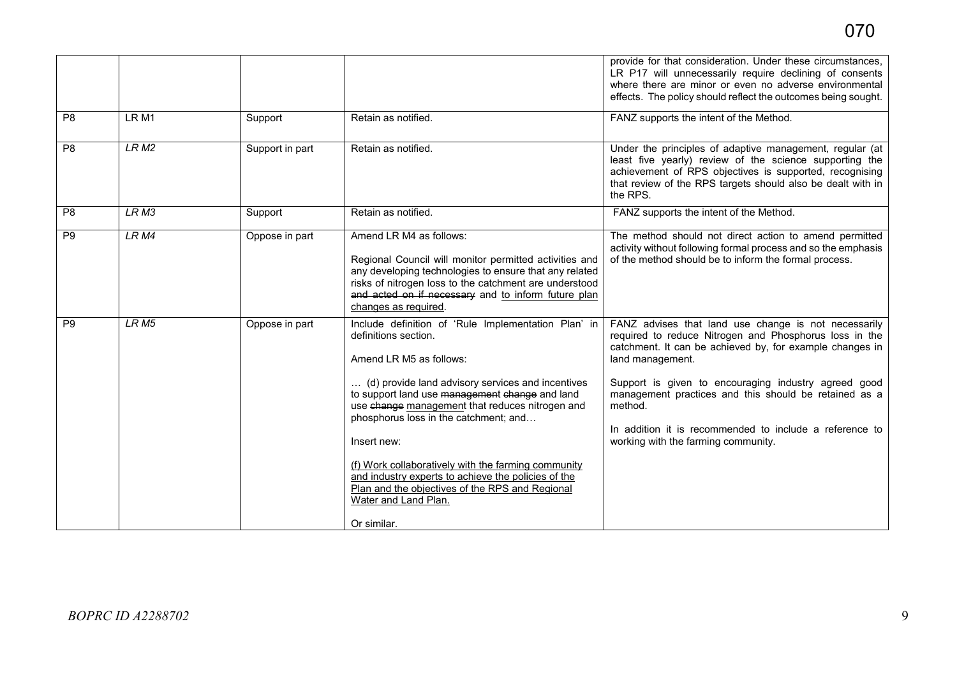|                |                  |                 |                                                                                                                                                                                                                                                                                                                                                                                                                                                                                                                                  | provide for that consideration. Under these circumstances,<br>LR P17 will unnecessarily require declining of consents<br>where there are minor or even no adverse environmental<br>effects. The policy should reflect the outcomes being sought.                                                                                                                                                                             |
|----------------|------------------|-----------------|----------------------------------------------------------------------------------------------------------------------------------------------------------------------------------------------------------------------------------------------------------------------------------------------------------------------------------------------------------------------------------------------------------------------------------------------------------------------------------------------------------------------------------|------------------------------------------------------------------------------------------------------------------------------------------------------------------------------------------------------------------------------------------------------------------------------------------------------------------------------------------------------------------------------------------------------------------------------|
| P <sub>8</sub> | LR <sub>M1</sub> | Support         | Retain as notified.                                                                                                                                                                                                                                                                                                                                                                                                                                                                                                              | FANZ supports the intent of the Method.                                                                                                                                                                                                                                                                                                                                                                                      |
| P <sub>8</sub> | LRM2             | Support in part | Retain as notified.                                                                                                                                                                                                                                                                                                                                                                                                                                                                                                              | Under the principles of adaptive management, regular (at<br>least five yearly) review of the science supporting the<br>achievement of RPS objectives is supported, recognising<br>that review of the RPS targets should also be dealt with in<br>the RPS.                                                                                                                                                                    |
| P <sub>8</sub> | LR <sub>M3</sub> | Support         | Retain as notified.                                                                                                                                                                                                                                                                                                                                                                                                                                                                                                              | FANZ supports the intent of the Method.                                                                                                                                                                                                                                                                                                                                                                                      |
| P <sub>9</sub> | LR M4            | Oppose in part  | Amend LR M4 as follows:<br>Regional Council will monitor permitted activities and<br>any developing technologies to ensure that any related<br>risks of nitrogen loss to the catchment are understood<br>and acted on if necessary and to inform future plan<br>changes as required.                                                                                                                                                                                                                                             | The method should not direct action to amend permitted<br>activity without following formal process and so the emphasis<br>of the method should be to inform the formal process.                                                                                                                                                                                                                                             |
| P <sub>9</sub> | LR <sub>M5</sub> | Oppose in part  | Include definition of 'Rule Implementation Plan' in<br>definitions section.<br>Amend LR M5 as follows:<br>(d) provide land advisory services and incentives<br>to support land use management change and land<br>use change management that reduces nitrogen and<br>phosphorus loss in the catchment; and<br>Insert new:<br>(f) Work collaboratively with the farming community<br>and industry experts to achieve the policies of the<br>Plan and the objectives of the RPS and Regional<br>Water and Land Plan.<br>Or similar. | FANZ advises that land use change is not necessarily<br>required to reduce Nitrogen and Phosphorus loss in the<br>catchment. It can be achieved by, for example changes in<br>land management.<br>Support is given to encouraging industry agreed good<br>management practices and this should be retained as a<br>method.<br>In addition it is recommended to include a reference to<br>working with the farming community. |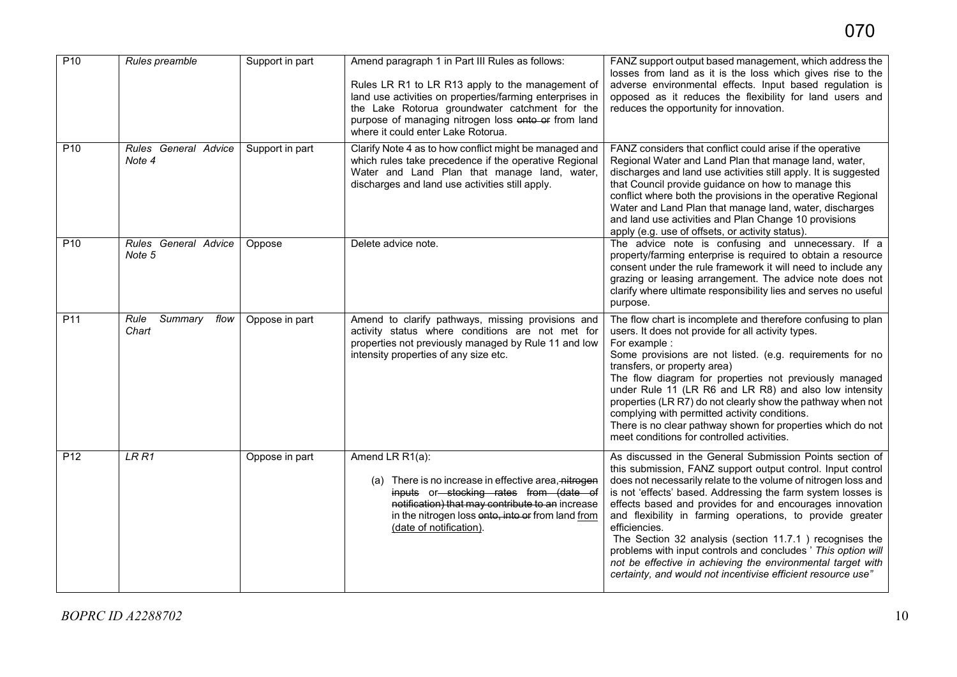| P <sub>10</sub> | Rules preamble                   | Support in part | Amend paragraph 1 in Part III Rules as follows:<br>Rules LR R1 to LR R13 apply to the management of<br>land use activities on properties/farming enterprises in<br>the Lake Rotorua groundwater catchment for the<br>purpose of managing nitrogen loss onto or from land<br>where it could enter Lake Rotorua. | FANZ support output based management, which address the<br>losses from land as it is the loss which gives rise to the<br>adverse environmental effects. Input based regulation is<br>opposed as it reduces the flexibility for land users and<br>reduces the opportunity for innovation.                                                                                                                                                                                                                                                                                                                                                                       |
|-----------------|----------------------------------|-----------------|----------------------------------------------------------------------------------------------------------------------------------------------------------------------------------------------------------------------------------------------------------------------------------------------------------------|----------------------------------------------------------------------------------------------------------------------------------------------------------------------------------------------------------------------------------------------------------------------------------------------------------------------------------------------------------------------------------------------------------------------------------------------------------------------------------------------------------------------------------------------------------------------------------------------------------------------------------------------------------------|
| P <sub>10</sub> | Rules General Advice<br>Note 4   | Support in part | Clarify Note 4 as to how conflict might be managed and<br>which rules take precedence if the operative Regional<br>Water and Land Plan that manage land, water,<br>discharges and land use activities still apply.                                                                                             | FANZ considers that conflict could arise if the operative<br>Regional Water and Land Plan that manage land, water,<br>discharges and land use activities still apply. It is suggested<br>that Council provide guidance on how to manage this<br>conflict where both the provisions in the operative Regional<br>Water and Land Plan that manage land, water, discharges<br>and land use activities and Plan Change 10 provisions<br>apply (e.g. use of offsets, or activity status).                                                                                                                                                                           |
| P <sub>10</sub> | Rules General Advice<br>Note 5   | Oppose          | Delete advice note.                                                                                                                                                                                                                                                                                            | The advice note is confusing and unnecessary. If a<br>property/farming enterprise is required to obtain a resource<br>consent under the rule framework it will need to include any<br>grazing or leasing arrangement. The advice note does not<br>clarify where ultimate responsibility lies and serves no useful<br>purpose.                                                                                                                                                                                                                                                                                                                                  |
| P11             | Summary<br>flow<br>Rule<br>Chart | Oppose in part  | Amend to clarify pathways, missing provisions and<br>activity status where conditions are not met for<br>properties not previously managed by Rule 11 and low<br>intensity properties of any size etc.                                                                                                         | The flow chart is incomplete and therefore confusing to plan<br>users. It does not provide for all activity types.<br>For example :<br>Some provisions are not listed. (e.g. requirements for no<br>transfers, or property area)<br>The flow diagram for properties not previously managed<br>under Rule 11 (LR R6 and LR R8) and also low intensity<br>properties (LR R7) do not clearly show the pathway when not<br>complying with permitted activity conditions.<br>There is no clear pathway shown for properties which do not<br>meet conditions for controlled activities.                                                                              |
| P <sub>12</sub> | LRR1                             | Oppose in part  | Amend LR R1(a):<br>(a) There is no increase in effective area, nitrogen<br>inputs or stocking rates from (date of<br>notification) that may contribute to an increase<br>in the nitrogen loss onto, into or from land from<br>(date of notification).                                                          | As discussed in the General Submission Points section of<br>this submission, FANZ support output control. Input control<br>does not necessarily relate to the volume of nitrogen loss and<br>is not 'effects' based. Addressing the farm system losses is<br>effects based and provides for and encourages innovation<br>and flexibility in farming operations, to provide greater<br>efficiencies.<br>The Section 32 analysis (section 11.7.1) recognises the<br>problems with input controls and concludes ' This option will<br>not be effective in achieving the environmental target with<br>certainty, and would not incentivise efficient resource use" |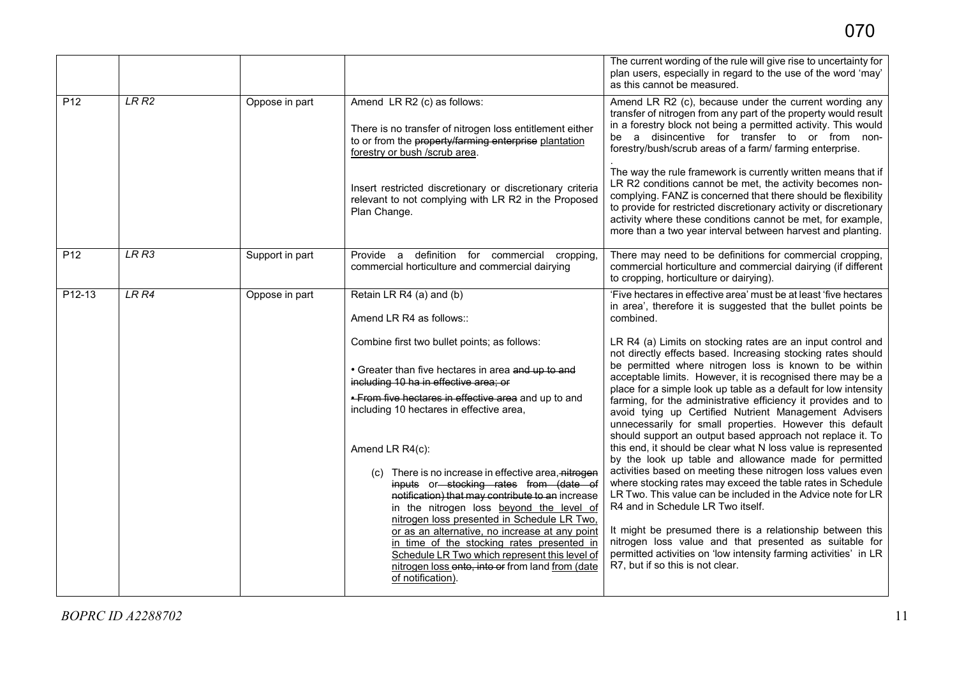|                 |       |                 |                                                                                                                                                                                                                                                                                                                    | The current wording of the rule will give rise to uncertainty for<br>plan users, especially in regard to the use of the word 'may'<br>as this cannot be measured.                                                                                                                                                                                                                                                      |
|-----------------|-------|-----------------|--------------------------------------------------------------------------------------------------------------------------------------------------------------------------------------------------------------------------------------------------------------------------------------------------------------------|------------------------------------------------------------------------------------------------------------------------------------------------------------------------------------------------------------------------------------------------------------------------------------------------------------------------------------------------------------------------------------------------------------------------|
| P <sub>12</sub> | LRR2  | Oppose in part  | Amend LR R2 (c) as follows:<br>There is no transfer of nitrogen loss entitlement either<br>to or from the property/farming enterprise plantation<br>forestry or bush /scrub area.                                                                                                                                  | Amend LR R2 (c), because under the current wording any<br>transfer of nitrogen from any part of the property would result<br>in a forestry block not being a permitted activity. This would<br>a disincentive for transfer to or from non-<br>be<br>forestry/bush/scrub areas of a farm/ farming enterprise.                                                                                                           |
|                 |       |                 | Insert restricted discretionary or discretionary criteria<br>relevant to not complying with LR R2 in the Proposed<br>Plan Change.                                                                                                                                                                                  | The way the rule framework is currently written means that if<br>LR R2 conditions cannot be met, the activity becomes non-<br>complying. FANZ is concerned that there should be flexibility<br>to provide for restricted discretionary activity or discretionary<br>activity where these conditions cannot be met, for example,<br>more than a two year interval between harvest and planting.                         |
| P <sub>12</sub> | LR R3 | Support in part | Provide a definition for commercial cropping,<br>commercial horticulture and commercial dairying                                                                                                                                                                                                                   | There may need to be definitions for commercial cropping,<br>commercial horticulture and commercial dairying (if different<br>to cropping, horticulture or dairying).                                                                                                                                                                                                                                                  |
| $P12-13$        | LRR4  | Oppose in part  | Retain LR R4 (a) and (b)<br>Amend LR R4 as follows::                                                                                                                                                                                                                                                               | 'Five hectares in effective area' must be at least 'five hectares<br>in area', therefore it is suggested that the bullet points be<br>combined.                                                                                                                                                                                                                                                                        |
|                 |       |                 | Combine first two bullet points; as follows:<br>• Greater than five hectares in area and up to and<br>including 10 ha in effective area; or                                                                                                                                                                        | LR R4 (a) Limits on stocking rates are an input control and<br>not directly effects based. Increasing stocking rates should<br>be permitted where nitrogen loss is known to be within<br>acceptable limits. However, it is recognised there may be a                                                                                                                                                                   |
|                 |       |                 | . From five hectares in effective area and up to and<br>including 10 hectares in effective area,                                                                                                                                                                                                                   | place for a simple look up table as a default for low intensity<br>farming, for the administrative efficiency it provides and to<br>avoid tying up Certified Nutrient Management Advisers<br>unnecessarily for small properties. However this default<br>should support an output based approach not replace it. To                                                                                                    |
|                 |       |                 | Amend LR R4(c):<br>(c) There is no increase in effective area, nitrogen<br>inputs or stocking rates from (date of<br>notification) that may contribute to an increase<br>in the nitrogen loss beyond the level of<br>nitrogen loss presented in Schedule LR Two,<br>or as an alternative, no increase at any point | this end, it should be clear what N loss value is represented<br>by the look up table and allowance made for permitted<br>activities based on meeting these nitrogen loss values even<br>where stocking rates may exceed the table rates in Schedule<br>LR Two. This value can be included in the Advice note for LR<br>R4 and in Schedule LR Two itself.<br>It might be presumed there is a relationship between this |
|                 |       |                 | in time of the stocking rates presented in<br>Schedule LR Two which represent this level of<br>nitrogen loss onto, into or from land from (date<br>of notification).                                                                                                                                               | nitrogen loss value and that presented as suitable for<br>permitted activities on 'low intensity farming activities' in LR<br>R7, but if so this is not clear.                                                                                                                                                                                                                                                         |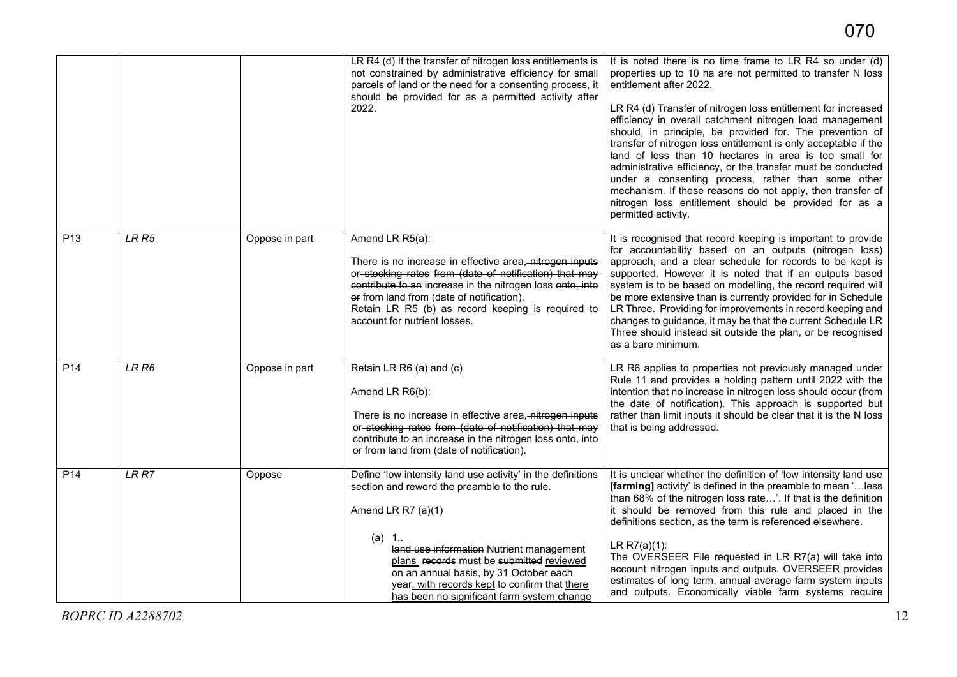|                 |                  |                | LR R4 (d) If the transfer of nitrogen loss entitlements is<br>not constrained by administrative efficiency for small<br>parcels of land or the need for a consenting process, it<br>should be provided for as a permitted activity after<br>2022.                                                                                                                              | It is noted there is no time frame to LR R4 so under (d)<br>properties up to 10 ha are not permitted to transfer N loss<br>entitlement after 2022.<br>LR R4 (d) Transfer of nitrogen loss entitlement for increased<br>efficiency in overall catchment nitrogen load management<br>should, in principle, be provided for. The prevention of<br>transfer of nitrogen loss entitlement is only acceptable if the<br>land of less than 10 hectares in area is too small for<br>administrative efficiency, or the transfer must be conducted<br>under a consenting process, rather than some other<br>mechanism. If these reasons do not apply, then transfer of<br>nitrogen loss entitlement should be provided for as a<br>permitted activity. |
|-----------------|------------------|----------------|--------------------------------------------------------------------------------------------------------------------------------------------------------------------------------------------------------------------------------------------------------------------------------------------------------------------------------------------------------------------------------|----------------------------------------------------------------------------------------------------------------------------------------------------------------------------------------------------------------------------------------------------------------------------------------------------------------------------------------------------------------------------------------------------------------------------------------------------------------------------------------------------------------------------------------------------------------------------------------------------------------------------------------------------------------------------------------------------------------------------------------------|
| P <sub>13</sub> | LR <sub>R5</sub> | Oppose in part | Amend LR R5(a):<br>There is no increase in effective area, nitrogen inputs<br>or stocking rates from (date of notification) that may<br>contribute to an increase in the nitrogen loss onto, into<br>er from land from (date of notification).<br>Retain LR R5 (b) as record keeping is required to<br>account for nutrient losses.                                            | It is recognised that record keeping is important to provide<br>for accountability based on an outputs (nitrogen loss)<br>approach, and a clear schedule for records to be kept is<br>supported. However it is noted that if an outputs based<br>system is to be based on modelling, the record required will<br>be more extensive than is currently provided for in Schedule<br>LR Three. Providing for improvements in record keeping and<br>changes to guidance, it may be that the current Schedule LR<br>Three should instead sit outside the plan, or be recognised<br>as a bare minimum.                                                                                                                                              |
| P <sub>14</sub> | LRR6             | Oppose in part | Retain LR R6 (a) and (c)<br>Amend LR R6(b):<br>There is no increase in effective area, nitrogen inputs<br>or stocking rates from (date of notification) that may<br>contribute to an increase in the nitrogen loss onto, into<br>er from land from (date of notification).                                                                                                     | LR R6 applies to properties not previously managed under<br>Rule 11 and provides a holding pattern until 2022 with the<br>intention that no increase in nitrogen loss should occur (from<br>the date of notification). This approach is supported but<br>rather than limit inputs it should be clear that it is the N loss<br>that is being addressed.                                                                                                                                                                                                                                                                                                                                                                                       |
| P <sub>14</sub> | LRR              | Oppose         | Define 'low intensity land use activity' in the definitions<br>section and reword the preamble to the rule.<br>Amend LR R7 $(a)(1)$<br>(a) 1,<br>land use information Nutrient management<br>plans records must be submitted reviewed<br>on an annual basis, by 31 October each<br>year, with records kept to confirm that there<br>has been no significant farm system change | It is unclear whether the definition of 'low intensity land use<br>[farming] activity' is defined in the preamble to mean 'less<br>than 68% of the nitrogen loss rate'. If that is the definition<br>it should be removed from this rule and placed in the<br>definitions section, as the term is referenced elsewhere.<br>$LR R7(a)(1)$ :<br>The OVERSEER File requested in LR R7(a) will take into<br>account nitrogen inputs and outputs. OVERSEER provides<br>estimates of long term, annual average farm system inputs<br>and outputs. Economically viable farm systems require                                                                                                                                                         |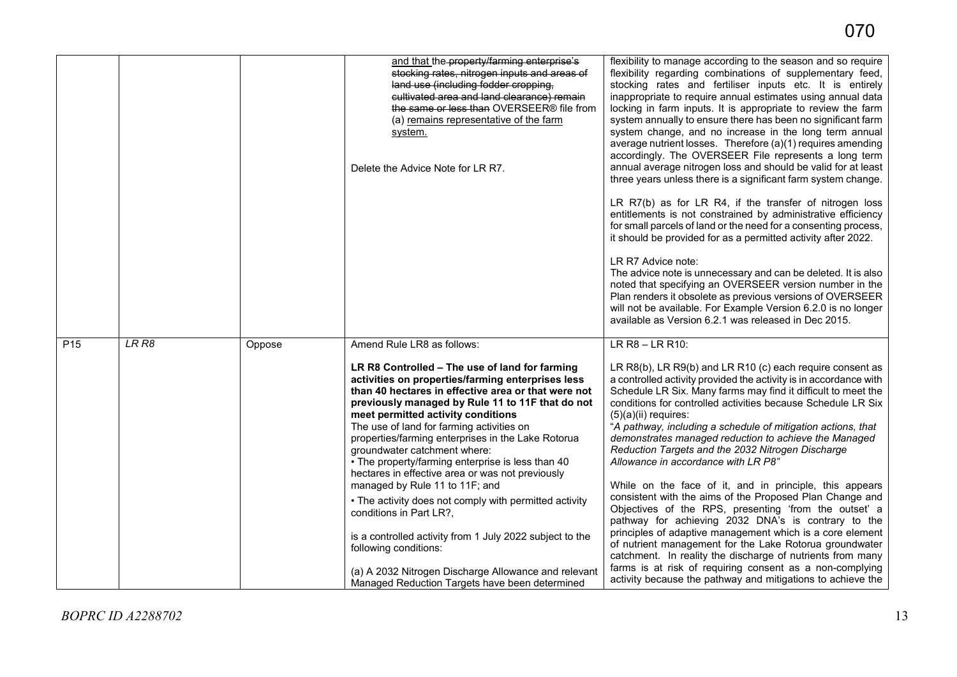|                 |       |        | and that the property/farming enterprise's<br>stocking rates, nitrogen inputs and areas of<br>land use (including fodder cropping,<br>cultivated area and land clearance) remain<br>the same or less than OVERSEER® file from<br>(a) remains representative of the farm<br>system.<br>Delete the Advice Note for LR R7.                                                                                                                                                                                                                                                                                                                                                                                                                                                                                                                              | flexibility to manage according to the season and so require<br>flexibility regarding combinations of supplementary feed,<br>stocking rates and fertiliser inputs etc. It is entirely<br>inappropriate to require annual estimates using annual data<br>locking in farm inputs. It is appropriate to review the farm<br>system annually to ensure there has been no significant farm<br>system change, and no increase in the long term annual<br>average nutrient losses. Therefore (a)(1) requires amending<br>accordingly. The OVERSEER File represents a long term<br>annual average nitrogen loss and should be valid for at least<br>three years unless there is a significant farm system change.<br>LR R7(b) as for LR R4, if the transfer of nitrogen loss<br>entitlements is not constrained by administrative efficiency<br>for small parcels of land or the need for a consenting process,<br>it should be provided for as a permitted activity after 2022.<br>LR R7 Advice note:<br>The advice note is unnecessary and can be deleted. It is also<br>noted that specifying an OVERSEER version number in the<br>Plan renders it obsolete as previous versions of OVERSEER<br>will not be available. For Example Version 6.2.0 is no longer<br>available as Version 6.2.1 was released in Dec 2015. |
|-----------------|-------|--------|------------------------------------------------------------------------------------------------------------------------------------------------------------------------------------------------------------------------------------------------------------------------------------------------------------------------------------------------------------------------------------------------------------------------------------------------------------------------------------------------------------------------------------------------------------------------------------------------------------------------------------------------------------------------------------------------------------------------------------------------------------------------------------------------------------------------------------------------------|-----------------------------------------------------------------------------------------------------------------------------------------------------------------------------------------------------------------------------------------------------------------------------------------------------------------------------------------------------------------------------------------------------------------------------------------------------------------------------------------------------------------------------------------------------------------------------------------------------------------------------------------------------------------------------------------------------------------------------------------------------------------------------------------------------------------------------------------------------------------------------------------------------------------------------------------------------------------------------------------------------------------------------------------------------------------------------------------------------------------------------------------------------------------------------------------------------------------------------------------------------------------------------------------------------------------|
| P <sub>15</sub> | LR R8 | Oppose | Amend Rule LR8 as follows:<br>LR R8 Controlled - The use of land for farming<br>activities on properties/farming enterprises less<br>than 40 hectares in effective area or that were not<br>previously managed by Rule 11 to 11F that do not<br>meet permitted activity conditions<br>The use of land for farming activities on<br>properties/farming enterprises in the Lake Rotorua<br>groundwater catchment where:<br>• The property/farming enterprise is less than 40<br>hectares in effective area or was not previously<br>managed by Rule 11 to 11F; and<br>• The activity does not comply with permitted activity<br>conditions in Part LR?,<br>is a controlled activity from 1 July 2022 subject to the<br>following conditions:<br>(a) A 2032 Nitrogen Discharge Allowance and relevant<br>Managed Reduction Targets have been determined | LR R8 - LR R10:<br>LR R8(b), LR R9(b) and LR R10 (c) each require consent as<br>a controlled activity provided the activity is in accordance with<br>Schedule LR Six. Many farms may find it difficult to meet the<br>conditions for controlled activities because Schedule LR Six<br>$(5)(a)(ii)$ requires:<br>"A pathway, including a schedule of mitigation actions, that<br>demonstrates managed reduction to achieve the Managed<br>Reduction Targets and the 2032 Nitrogen Discharge<br>Allowance in accordance with LR P8"<br>While on the face of it, and in principle, this appears<br>consistent with the aims of the Proposed Plan Change and<br>Objectives of the RPS, presenting 'from the outset' a<br>pathway for achieving 2032 DNA's is contrary to the<br>principles of adaptive management which is a core element<br>of nutrient management for the Lake Rotorua groundwater<br>catchment. In reality the discharge of nutrients from many<br>farms is at risk of requiring consent as a non-complying<br>activity because the pathway and mitigations to achieve the                                                                                                                                                                                                                       |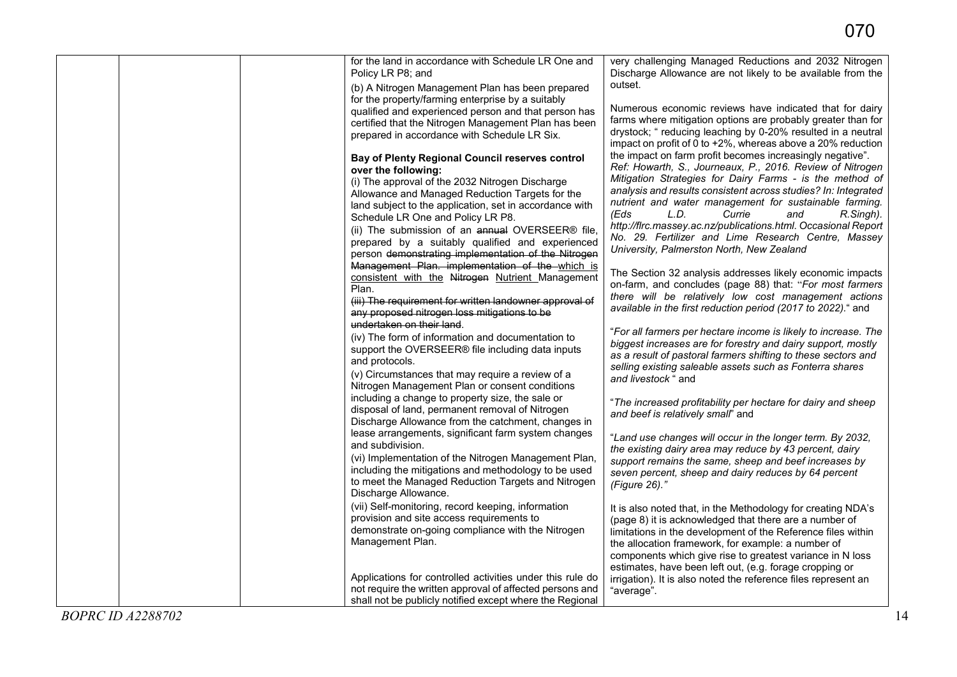|                          | for the land in accordance with Schedule LR One and<br>Policy LR P8; and                                                                                                                                                                                              | very challenging Managed Reductions and 2032 Nitrogen<br>Discharge Allowance are not likely to be available from the                                                                                                                                                                                           |
|--------------------------|-----------------------------------------------------------------------------------------------------------------------------------------------------------------------------------------------------------------------------------------------------------------------|----------------------------------------------------------------------------------------------------------------------------------------------------------------------------------------------------------------------------------------------------------------------------------------------------------------|
|                          | (b) A Nitrogen Management Plan has been prepared<br>for the property/farming enterprise by a suitably                                                                                                                                                                 | outset.                                                                                                                                                                                                                                                                                                        |
|                          | qualified and experienced person and that person has<br>certified that the Nitrogen Management Plan has been<br>prepared in accordance with Schedule LR Six.                                                                                                          | Numerous economic reviews have indicated that for dairy<br>farms where mitigation options are probably greater than for<br>drystock; " reducing leaching by 0-20% resulted in a neutral<br>impact on profit of 0 to +2%, whereas above a 20% reduction                                                         |
|                          | Bay of Plenty Regional Council reserves control<br>over the following:<br>(i) The approval of the 2032 Nitrogen Discharge<br>Allowance and Managed Reduction Targets for the<br>land subject to the application, set in accordance with                               | the impact on farm profit becomes increasingly negative".<br>Ref: Howarth, S., Journeaux, P., 2016. Review of Nitrogen<br>Mitigation Strategies for Dairy Farms - is the method of<br>analysis and results consistent across studies? In: Integrated<br>nutrient and water management for sustainable farming. |
|                          | Schedule LR One and Policy LR P8.<br>(ii) The submission of an annual OVERSEER® file,<br>prepared by a suitably qualified and experienced<br>person demonstrating implementation of the Nitrogen<br>Management Plan. implementation of the which is                   | (Eds<br>L.D.<br>Currie<br>and<br>R.Singh).<br>http://firc.massey.ac.nz/publications.html. Occasional Report<br>No. 29. Fertilizer and Lime Research Centre, Massey<br>University, Palmerston North, New Zealand                                                                                                |
|                          | consistent with the Nitrogen Nutrient Management<br>Plan.<br>(iii) The requirement for written landowner approval of<br>any proposed nitrogen loss mitigations to be<br>undertaken on their land.                                                                     | The Section 32 analysis addresses likely economic impacts<br>on-farm, and concludes (page 88) that: "For most farmers<br>there will be relatively low cost management actions<br>available in the first reduction period (2017 to 2022)." and                                                                  |
|                          | (iv) The form of information and documentation to<br>support the OVERSEER® file including data inputs<br>and protocols.<br>(v) Circumstances that may require a review of a<br>Nitrogen Management Plan or consent conditions                                         | "For all farmers per hectare income is likely to increase. The<br>biggest increases are for forestry and dairy support, mostly<br>as a result of pastoral farmers shifting to these sectors and<br>selling existing saleable assets such as Fonterra shares<br>and livestock " and                             |
|                          | including a change to property size, the sale or<br>disposal of land, permanent removal of Nitrogen<br>Discharge Allowance from the catchment, changes in                                                                                                             | "The increased profitability per hectare for dairy and sheep<br>and beef is relatively small" and                                                                                                                                                                                                              |
|                          | lease arrangements, significant farm system changes<br>and subdivision.<br>(vi) Implementation of the Nitrogen Management Plan,<br>including the mitigations and methodology to be used<br>to meet the Managed Reduction Targets and Nitrogen<br>Discharge Allowance. | "Land use changes will occur in the longer term. By 2032,<br>the existing dairy area may reduce by 43 percent, dairy<br>support remains the same, sheep and beef increases by<br>seven percent, sheep and dairy reduces by 64 percent<br>(Figure 26)."                                                         |
|                          | (vii) Self-monitoring, record keeping, information<br>provision and site access requirements to<br>demonstrate on-going compliance with the Nitrogen<br>Management Plan.                                                                                              | It is also noted that, in the Methodology for creating NDA's<br>(page 8) it is acknowledged that there are a number of<br>limitations in the development of the Reference files within<br>the allocation framework, for example: a number of<br>components which give rise to greatest variance in N loss      |
|                          | Applications for controlled activities under this rule do<br>not require the written approval of affected persons and<br>shall not be publicly notified except where the Regional                                                                                     | estimates, have been left out, (e.g. forage cropping or<br>irrigation). It is also noted the reference files represent an<br>"average".                                                                                                                                                                        |
| <b>BOPRC ID A2288702</b> |                                                                                                                                                                                                                                                                       | 14                                                                                                                                                                                                                                                                                                             |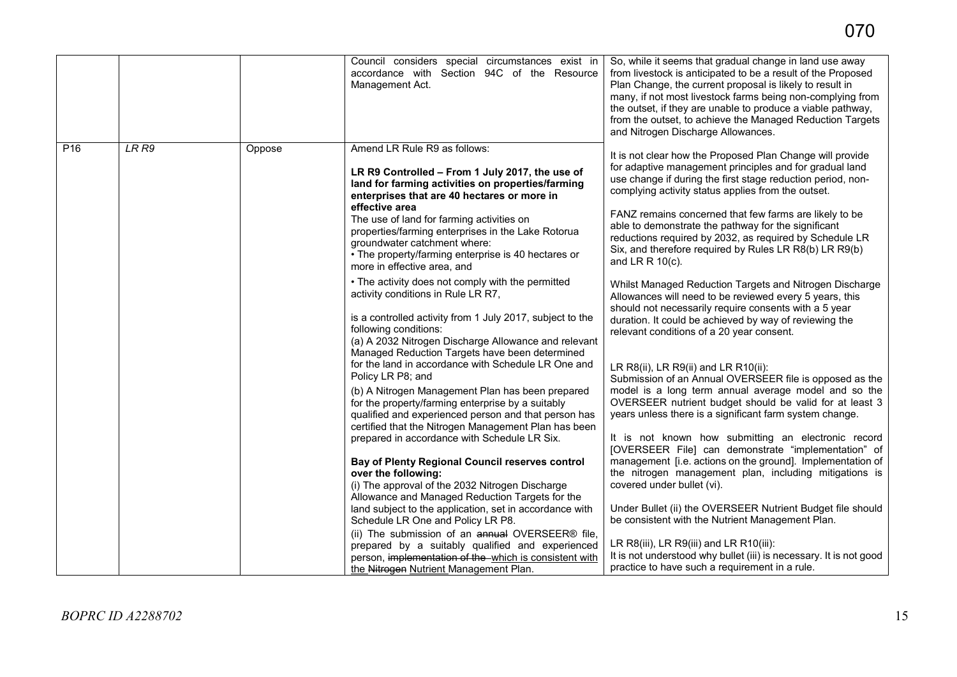|                 |                  |        | Council considers special circumstances exist in<br>accordance with Section 94C of the Resource<br>Management Act.                                                                                                                      | So, while it seems that gradual change in land use away<br>from livestock is anticipated to be a result of the Proposed<br>Plan Change, the current proposal is likely to result in<br>many, if not most livestock farms being non-complying from     |
|-----------------|------------------|--------|-----------------------------------------------------------------------------------------------------------------------------------------------------------------------------------------------------------------------------------------|-------------------------------------------------------------------------------------------------------------------------------------------------------------------------------------------------------------------------------------------------------|
|                 |                  |        |                                                                                                                                                                                                                                         | the outset, if they are unable to produce a viable pathway,<br>from the outset, to achieve the Managed Reduction Targets<br>and Nitrogen Discharge Allowances.                                                                                        |
| P <sub>16</sub> | LR <sub>R9</sub> | Oppose | Amend LR Rule R9 as follows:<br>LR R9 Controlled - From 1 July 2017, the use of<br>land for farming activities on properties/farming<br>enterprises that are 40 hectares or more in                                                     | It is not clear how the Proposed Plan Change will provide<br>for adaptive management principles and for gradual land<br>use change if during the first stage reduction period, non-<br>complying activity status applies from the outset.             |
|                 |                  |        | effective area<br>The use of land for farming activities on<br>properties/farming enterprises in the Lake Rotorua<br>groundwater catchment where:<br>• The property/farming enterprise is 40 hectares or<br>more in effective area, and | FANZ remains concerned that few farms are likely to be<br>able to demonstrate the pathway for the significant<br>reductions required by 2032, as required by Schedule LR<br>Six, and therefore required by Rules LR R8(b) LR R9(b)<br>and LR R 10(c). |
|                 |                  |        | • The activity does not comply with the permitted<br>activity conditions in Rule LR R7,                                                                                                                                                 | Whilst Managed Reduction Targets and Nitrogen Discharge<br>Allowances will need to be reviewed every 5 years, this                                                                                                                                    |
|                 |                  |        | is a controlled activity from 1 July 2017, subject to the<br>following conditions:<br>(a) A 2032 Nitrogen Discharge Allowance and relevant<br>Managed Reduction Targets have been determined                                            | should not necessarily require consents with a 5 year<br>duration. It could be achieved by way of reviewing the<br>relevant conditions of a 20 year consent.                                                                                          |
|                 |                  |        | for the land in accordance with Schedule LR One and<br>Policy LR P8; and                                                                                                                                                                | LR R8(ii), LR R9(ii) and LR R10(ii):<br>Submission of an Annual OVERSEER file is opposed as the                                                                                                                                                       |
|                 |                  |        | (b) A Nitrogen Management Plan has been prepared<br>for the property/farming enterprise by a suitably<br>qualified and experienced person and that person has<br>certified that the Nitrogen Management Plan has been                   | model is a long term annual average model and so the<br>OVERSEER nutrient budget should be valid for at least 3<br>years unless there is a significant farm system change.                                                                            |
|                 |                  |        | prepared in accordance with Schedule LR Six.                                                                                                                                                                                            | It is not known how submitting an electronic record<br>[OVERSEER File] can demonstrate "implementation" of                                                                                                                                            |
|                 |                  |        | <b>Bay of Plenty Regional Council reserves control</b><br>over the following:<br>(i) The approval of the 2032 Nitrogen Discharge<br>Allowance and Managed Reduction Targets for the                                                     | management [i.e. actions on the ground]. Implementation of<br>the nitrogen management plan, including mitigations is<br>covered under bullet (vi).                                                                                                    |
|                 |                  |        | land subject to the application, set in accordance with<br>Schedule LR One and Policy LR P8.                                                                                                                                            | Under Bullet (ii) the OVERSEER Nutrient Budget file should<br>be consistent with the Nutrient Management Plan.                                                                                                                                        |
|                 |                  |        | (ii) The submission of an annual OVERSEER® file,<br>prepared by a suitably qualified and experienced<br>person, implementation of the which is consistent with<br>the Nitrogen Nutrient Management Plan.                                | LR R8(iii), LR R9(iii) and LR R10(iii):<br>It is not understood why bullet (iii) is necessary. It is not good<br>practice to have such a requirement in a rule.                                                                                       |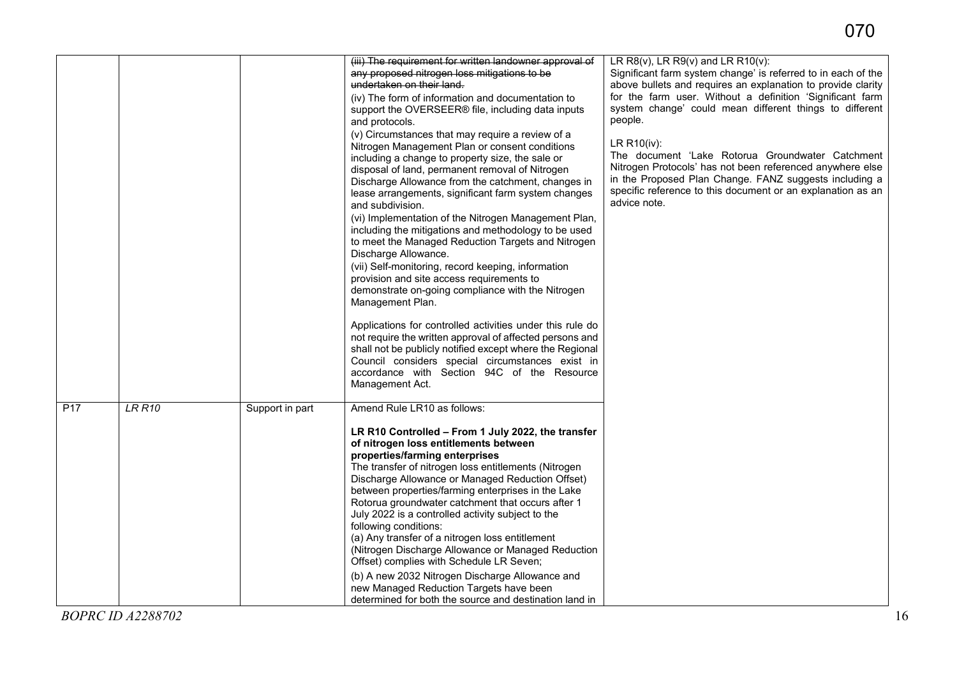|                                                     | (iii) The requirement for written landowner approval of                                                                                                                                                                                                                                                                                                                                                                                                                                                                                                                                                                                                                                                                                                                                                                                                                                                                                                                                                                                                                                                                                                                                                                                  | LR $R8(v)$ , LR $R9(v)$ and LR $R10(v)$ :                                                                                                                                                                                                                                                                                                                                                                                                                                                                                                 |
|-----------------------------------------------------|------------------------------------------------------------------------------------------------------------------------------------------------------------------------------------------------------------------------------------------------------------------------------------------------------------------------------------------------------------------------------------------------------------------------------------------------------------------------------------------------------------------------------------------------------------------------------------------------------------------------------------------------------------------------------------------------------------------------------------------------------------------------------------------------------------------------------------------------------------------------------------------------------------------------------------------------------------------------------------------------------------------------------------------------------------------------------------------------------------------------------------------------------------------------------------------------------------------------------------------|-------------------------------------------------------------------------------------------------------------------------------------------------------------------------------------------------------------------------------------------------------------------------------------------------------------------------------------------------------------------------------------------------------------------------------------------------------------------------------------------------------------------------------------------|
|                                                     | any proposed nitrogen loss mitigations to be<br>undertaken on their land.<br>(iv) The form of information and documentation to<br>support the OVERSEER® file, including data inputs<br>and protocols.<br>(v) Circumstances that may require a review of a<br>Nitrogen Management Plan or consent conditions<br>including a change to property size, the sale or<br>disposal of land, permanent removal of Nitrogen<br>Discharge Allowance from the catchment, changes in<br>lease arrangements, significant farm system changes<br>and subdivision.<br>(vi) Implementation of the Nitrogen Management Plan,<br>including the mitigations and methodology to be used<br>to meet the Managed Reduction Targets and Nitrogen<br>Discharge Allowance.<br>(vii) Self-monitoring, record keeping, information<br>provision and site access requirements to<br>demonstrate on-going compliance with the Nitrogen<br>Management Plan.<br>Applications for controlled activities under this rule do<br>not require the written approval of affected persons and<br>shall not be publicly notified except where the Regional<br>Council considers special circumstances exist in<br>accordance with Section 94C of the Resource<br>Management Act. | Significant farm system change' is referred to in each of the<br>above bullets and requires an explanation to provide clarity<br>for the farm user. Without a definition 'Significant farm<br>system change' could mean different things to different<br>people.<br>LR R10(iv):<br>The document 'Lake Rotorua Groundwater Catchment<br>Nitrogen Protocols' has not been referenced anywhere else<br>in the Proposed Plan Change. FANZ suggests including a<br>specific reference to this document or an explanation as an<br>advice note. |
| <b>LR R10</b><br>P <sub>17</sub><br>Support in part | Amend Rule LR10 as follows:<br>LR R10 Controlled - From 1 July 2022, the transfer<br>of nitrogen loss entitlements between<br>properties/farming enterprises<br>The transfer of nitrogen loss entitlements (Nitrogen<br>Discharge Allowance or Managed Reduction Offset)<br>between properties/farming enterprises in the Lake<br>Rotorua groundwater catchment that occurs after 1<br>July 2022 is a controlled activity subject to the<br>following conditions:<br>(a) Any transfer of a nitrogen loss entitlement<br>(Nitrogen Discharge Allowance or Managed Reduction<br>Offset) complies with Schedule LR Seven;                                                                                                                                                                                                                                                                                                                                                                                                                                                                                                                                                                                                                   |                                                                                                                                                                                                                                                                                                                                                                                                                                                                                                                                           |
| <b>BOPRC ID A2288702</b>                            | (b) A new 2032 Nitrogen Discharge Allowance and<br>new Managed Reduction Targets have been<br>determined for both the source and destination land in                                                                                                                                                                                                                                                                                                                                                                                                                                                                                                                                                                                                                                                                                                                                                                                                                                                                                                                                                                                                                                                                                     |                                                                                                                                                                                                                                                                                                                                                                                                                                                                                                                                           |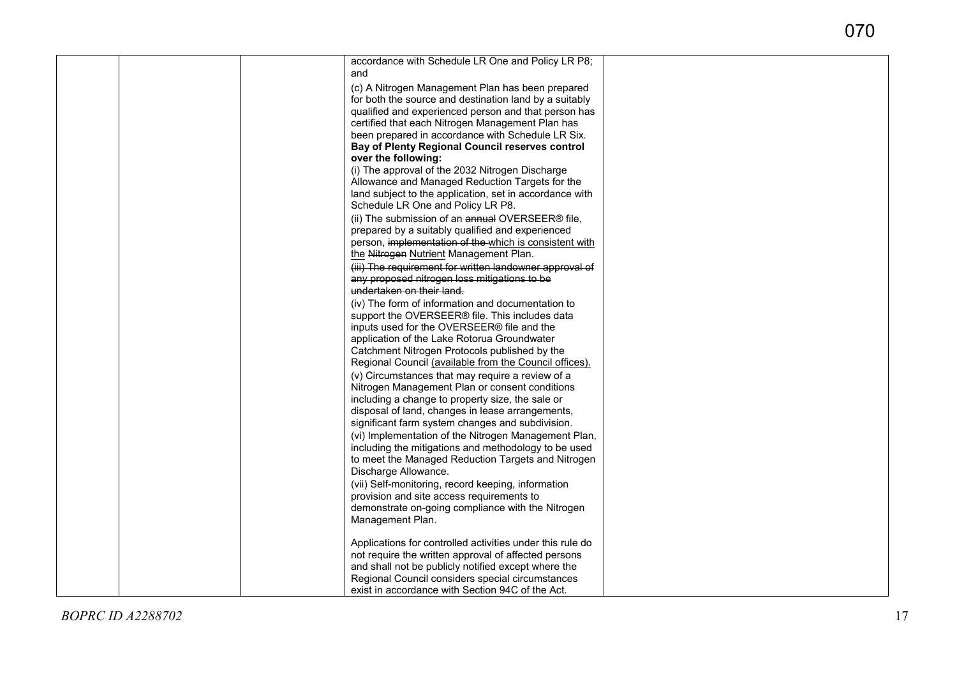|  | accordance with Schedule LR One and Policy LR P8;<br>and                                             |  |
|--|------------------------------------------------------------------------------------------------------|--|
|  | (c) A Nitrogen Management Plan has been prepared                                                     |  |
|  | for both the source and destination land by a suitably                                               |  |
|  | qualified and experienced person and that person has                                                 |  |
|  | certified that each Nitrogen Management Plan has                                                     |  |
|  | been prepared in accordance with Schedule LR Six.<br>Bay of Plenty Regional Council reserves control |  |
|  | over the following:                                                                                  |  |
|  | (i) The approval of the 2032 Nitrogen Discharge                                                      |  |
|  | Allowance and Managed Reduction Targets for the                                                      |  |
|  | land subject to the application, set in accordance with                                              |  |
|  | Schedule LR One and Policy LR P8.                                                                    |  |
|  | (ii) The submission of an annual OVERSEER® file,                                                     |  |
|  | prepared by a suitably qualified and experienced                                                     |  |
|  | person, implementation of the which is consistent with                                               |  |
|  | the Nitrogen Nutrient Management Plan.                                                               |  |
|  | (iii) The requirement for written landowner approval of                                              |  |
|  | any proposed nitrogen loss mitigations to be                                                         |  |
|  | undertaken on their land.                                                                            |  |
|  | (iv) The form of information and documentation to                                                    |  |
|  | support the OVERSEER® file. This includes data                                                       |  |
|  | inputs used for the OVERSEER® file and the                                                           |  |
|  | application of the Lake Rotorua Groundwater                                                          |  |
|  | Catchment Nitrogen Protocols published by the                                                        |  |
|  | Regional Council (available from the Council offices).                                               |  |
|  | (v) Circumstances that may require a review of a                                                     |  |
|  | Nitrogen Management Plan or consent conditions                                                       |  |
|  | including a change to property size, the sale or                                                     |  |
|  | disposal of land, changes in lease arrangements,                                                     |  |
|  | significant farm system changes and subdivision.                                                     |  |
|  | (vi) Implementation of the Nitrogen Management Plan,                                                 |  |
|  | including the mitigations and methodology to be used                                                 |  |
|  | to meet the Managed Reduction Targets and Nitrogen                                                   |  |
|  | Discharge Allowance.                                                                                 |  |
|  | (vii) Self-monitoring, record keeping, information                                                   |  |
|  | provision and site access requirements to<br>demonstrate on-going compliance with the Nitrogen       |  |
|  | Management Plan.                                                                                     |  |
|  |                                                                                                      |  |
|  | Applications for controlled activities under this rule do                                            |  |
|  | not require the written approval of affected persons                                                 |  |
|  | and shall not be publicly notified except where the                                                  |  |
|  | Regional Council considers special circumstances                                                     |  |
|  | exist in accordance with Section 94C of the Act.                                                     |  |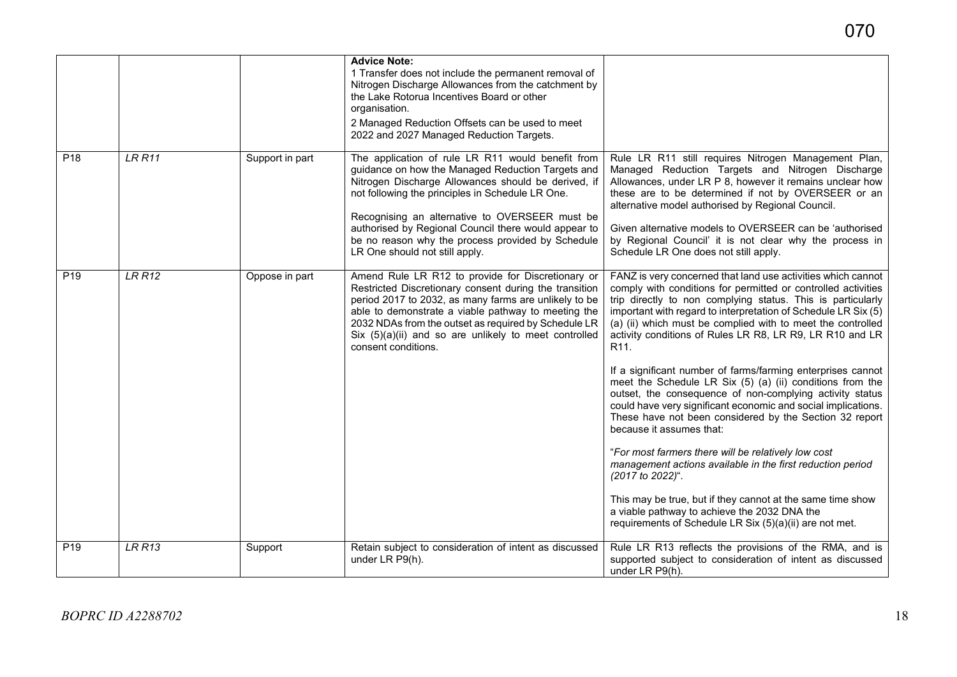|                 |               |                 | <b>Advice Note:</b><br>1 Transfer does not include the permanent removal of<br>Nitrogen Discharge Allowances from the catchment by<br>the Lake Rotorua Incentives Board or other<br>organisation.<br>2 Managed Reduction Offsets can be used to meet<br>2022 and 2027 Managed Reduction Targets.                                                                                                                   |                                                                                                                                                                                                                                                                                                                                                                                                                                                                                                                                                                                                                                                                                                                                                                                                                                                                                                                                                                                                                                                                                  |
|-----------------|---------------|-----------------|--------------------------------------------------------------------------------------------------------------------------------------------------------------------------------------------------------------------------------------------------------------------------------------------------------------------------------------------------------------------------------------------------------------------|----------------------------------------------------------------------------------------------------------------------------------------------------------------------------------------------------------------------------------------------------------------------------------------------------------------------------------------------------------------------------------------------------------------------------------------------------------------------------------------------------------------------------------------------------------------------------------------------------------------------------------------------------------------------------------------------------------------------------------------------------------------------------------------------------------------------------------------------------------------------------------------------------------------------------------------------------------------------------------------------------------------------------------------------------------------------------------|
| P18             | LRR11         | Support in part | The application of rule LR R11 would benefit from<br>guidance on how the Managed Reduction Targets and<br>Nitrogen Discharge Allowances should be derived, if<br>not following the principles in Schedule LR One.<br>Recognising an alternative to OVERSEER must be<br>authorised by Regional Council there would appear to<br>be no reason why the process provided by Schedule<br>LR One should not still apply. | Rule LR R11 still requires Nitrogen Management Plan,<br>Managed Reduction Targets and Nitrogen Discharge<br>Allowances, under LR P 8, however it remains unclear how<br>these are to be determined if not by OVERSEER or an<br>alternative model authorised by Regional Council.<br>Given alternative models to OVERSEER can be 'authorised<br>by Regional Council' it is not clear why the process in<br>Schedule LR One does not still apply.                                                                                                                                                                                                                                                                                                                                                                                                                                                                                                                                                                                                                                  |
| P <sub>19</sub> | <b>LR R12</b> | Oppose in part  | Amend Rule LR R12 to provide for Discretionary or<br>Restricted Discretionary consent during the transition<br>period 2017 to 2032, as many farms are unlikely to be<br>able to demonstrate a viable pathway to meeting the<br>2032 NDAs from the outset as required by Schedule LR<br>Six (5)(a)(ii) and so are unlikely to meet controlled<br>consent conditions.                                                | FANZ is very concerned that land use activities which cannot<br>comply with conditions for permitted or controlled activities<br>trip directly to non complying status. This is particularly<br>important with regard to interpretation of Schedule LR Six (5)<br>(a) (ii) which must be complied with to meet the controlled<br>activity conditions of Rules LR R8, LR R9, LR R10 and LR<br>R <sub>11</sub> .<br>If a significant number of farms/farming enterprises cannot<br>meet the Schedule LR Six (5) (a) (ii) conditions from the<br>outset, the consequence of non-complying activity status<br>could have very significant economic and social implications.<br>These have not been considered by the Section 32 report<br>because it assumes that:<br>"For most farmers there will be relatively low cost<br>management actions available in the first reduction period<br>(2017 to 2022)".<br>This may be true, but if they cannot at the same time show<br>a viable pathway to achieve the 2032 DNA the<br>requirements of Schedule LR Six (5)(a)(ii) are not met. |
| P19             | LRR13         | Support         | Retain subject to consideration of intent as discussed<br>under LR P9(h).                                                                                                                                                                                                                                                                                                                                          | Rule LR R13 reflects the provisions of the RMA, and is<br>supported subject to consideration of intent as discussed<br>under LR P9(h).                                                                                                                                                                                                                                                                                                                                                                                                                                                                                                                                                                                                                                                                                                                                                                                                                                                                                                                                           |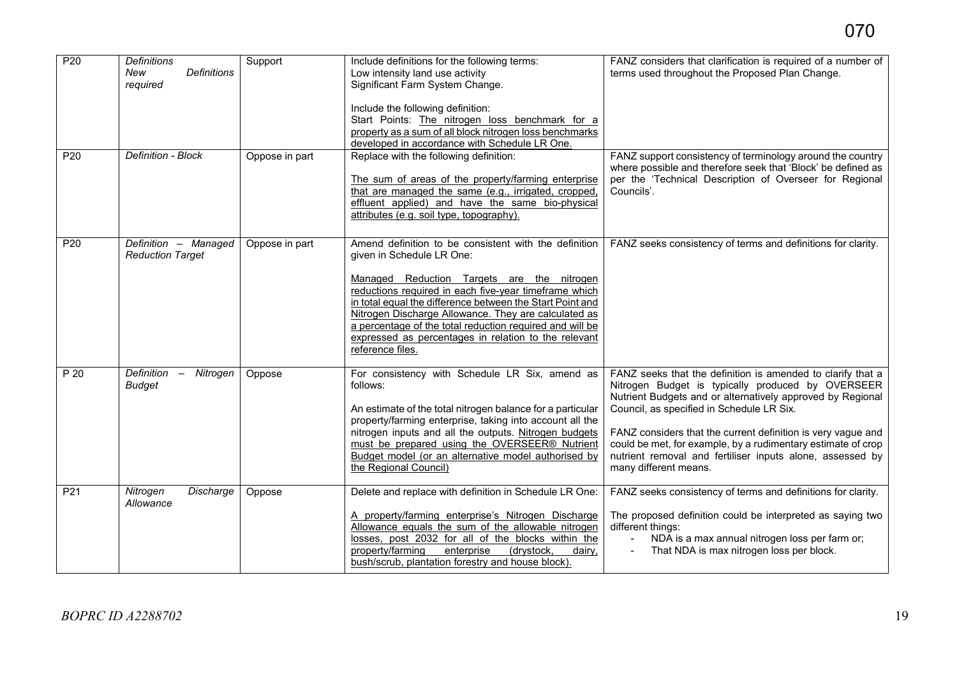| P <sub>20</sub> | <b>Definitions</b><br>New<br><b>Definitions</b><br>required         | Support        | Include definitions for the following terms:<br>Low intensity land use activity<br>Significant Farm System Change.<br>Include the following definition:<br>Start Points: The nitrogen loss benchmark for a<br>property as a sum of all block nitrogen loss benchmarks<br>developed in accordance with Schedule LR One.                                                                                                                                 | FANZ considers that clarification is required of a number of<br>terms used throughout the Proposed Plan Change.                                                                                                                                                                                                                                                                                                                                   |
|-----------------|---------------------------------------------------------------------|----------------|--------------------------------------------------------------------------------------------------------------------------------------------------------------------------------------------------------------------------------------------------------------------------------------------------------------------------------------------------------------------------------------------------------------------------------------------------------|---------------------------------------------------------------------------------------------------------------------------------------------------------------------------------------------------------------------------------------------------------------------------------------------------------------------------------------------------------------------------------------------------------------------------------------------------|
| P20             | Definition - Block                                                  | Oppose in part | Replace with the following definition:<br>The sum of areas of the property/farming enterprise<br>that are managed the same (e.g., irrigated, cropped,<br>effluent applied) and have the same bio-physical<br>attributes (e.g. soil type, topography).                                                                                                                                                                                                  | FANZ support consistency of terminology around the country<br>where possible and therefore seek that 'Block' be defined as<br>per the 'Technical Description of Overseer for Regional<br>Councils'.                                                                                                                                                                                                                                               |
| P20             | Definition - Managed<br><b>Reduction Target</b>                     | Oppose in part | Amend definition to be consistent with the definition<br>given in Schedule LR One:<br>Managed Reduction Targets are the nitrogen<br>reductions required in each five-year timeframe which<br>in total equal the difference between the Start Point and<br>Nitrogen Discharge Allowance. They are calculated as<br>a percentage of the total reduction required and will be<br>expressed as percentages in relation to the relevant<br>reference files. | FANZ seeks consistency of terms and definitions for clarity.                                                                                                                                                                                                                                                                                                                                                                                      |
| P 20            | Definition<br>Nitrogen<br>$\overline{\phantom{a}}$<br><b>Budget</b> | Oppose         | For consistency with Schedule LR Six, amend as<br>follows:<br>An estimate of the total nitrogen balance for a particular<br>property/farming enterprise, taking into account all the<br>nitrogen inputs and all the outputs. Nitrogen budgets<br>must be prepared using the OVERSEER® Nutrient<br>Budget model (or an alternative model authorised by<br>the Regional Council)                                                                         | FANZ seeks that the definition is amended to clarify that a<br>Nitrogen Budget is typically produced by OVERSEER<br>Nutrient Budgets and or alternatively approved by Regional<br>Council, as specified in Schedule LR Six.<br>FANZ considers that the current definition is very vague and<br>could be met, for example, by a rudimentary estimate of crop<br>nutrient removal and fertiliser inputs alone, assessed by<br>many different means. |
| P <sub>21</sub> | Nitrogen<br>Discharge<br>Allowance                                  | Oppose         | Delete and replace with definition in Schedule LR One:<br>A property/farming enterprise's Nitrogen Discharge<br>Allowance equals the sum of the allowable nitrogen<br>losses, post 2032 for all of the blocks within the<br>property/farming<br>enterprise<br>(drystock,<br>dairy,<br>bush/scrub, plantation forestry and house block).                                                                                                                | FANZ seeks consistency of terms and definitions for clarity.<br>The proposed definition could be interpreted as saying two<br>different things:<br>NDA is a max annual nitrogen loss per farm or;<br>That NDA is max nitrogen loss per block.                                                                                                                                                                                                     |

070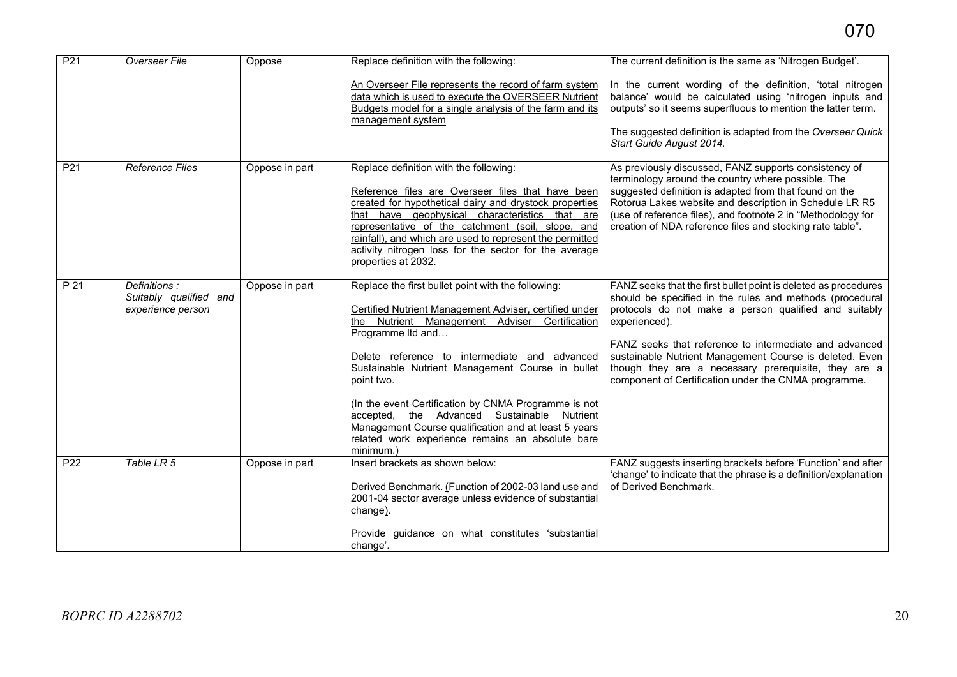| P <sub>21</sub> | Overseer File                                               | Oppose         | Replace definition with the following:                                                                                                                                                                                                                                                                                                                                                                                                                                                                                                | The current definition is the same as 'Nitrogen Budget'.                                                                                                                                                                                                                                                                                                                                                                                   |
|-----------------|-------------------------------------------------------------|----------------|---------------------------------------------------------------------------------------------------------------------------------------------------------------------------------------------------------------------------------------------------------------------------------------------------------------------------------------------------------------------------------------------------------------------------------------------------------------------------------------------------------------------------------------|--------------------------------------------------------------------------------------------------------------------------------------------------------------------------------------------------------------------------------------------------------------------------------------------------------------------------------------------------------------------------------------------------------------------------------------------|
|                 |                                                             |                | An Overseer File represents the record of farm system<br>data which is used to execute the OVERSEER Nutrient<br>Budgets model for a single analysis of the farm and its<br>management system                                                                                                                                                                                                                                                                                                                                          | In the current wording of the definition, 'total nitrogen<br>balance' would be calculated using 'nitrogen inputs and<br>outputs' so it seems superfluous to mention the latter term.<br>The suggested definition is adapted from the Overseer Quick<br>Start Guide August 2014.                                                                                                                                                            |
| P <sub>21</sub> | <b>Reference Files</b>                                      | Oppose in part | Replace definition with the following:<br>Reference files are Overseer files that have been<br>created for hypothetical dairy and drystock properties<br>that have geophysical characteristics that are<br>representative of the catchment (soil, slope, and<br>rainfall), and which are used to represent the permitted<br>activity nitrogen loss for the sector for the average<br>properties at 2032.                                                                                                                              | As previously discussed, FANZ supports consistency of<br>terminology around the country where possible. The<br>suggested definition is adapted from that found on the<br>Rotorua Lakes website and description in Schedule LR R5<br>(use of reference files), and footnote 2 in "Methodology for<br>creation of NDA reference files and stocking rate table".                                                                              |
| P 21            | Definitions:<br>Suitably qualified and<br>experience person | Oppose in part | Replace the first bullet point with the following:<br>Certified Nutrient Management Adviser, certified under<br>the Nutrient Management Adviser Certification<br>Programme Itd and<br>Delete reference to intermediate and advanced<br>Sustainable Nutrient Management Course in bullet<br>point two.<br>(In the event Certification by CNMA Programme is not<br>accepted, the Advanced Sustainable Nutrient<br>Management Course qualification and at least 5 years<br>related work experience remains an absolute bare<br>minimum.) | FANZ seeks that the first bullet point is deleted as procedures<br>should be specified in the rules and methods (procedural<br>protocols do not make a person qualified and suitably<br>experienced).<br>FANZ seeks that reference to intermediate and advanced<br>sustainable Nutrient Management Course is deleted. Even<br>though they are a necessary prerequisite, they are a<br>component of Certification under the CNMA programme. |
| P22             | Table LR 5                                                  | Oppose in part | Insert brackets as shown below:<br>Derived Benchmark. (Function of 2002-03 land use and<br>2001-04 sector average unless evidence of substantial<br>change).<br>Provide guidance on what constitutes 'substantial<br>change'.                                                                                                                                                                                                                                                                                                         | FANZ suggests inserting brackets before 'Function' and after<br>'change' to indicate that the phrase is a definition/explanation<br>of Derived Benchmark.                                                                                                                                                                                                                                                                                  |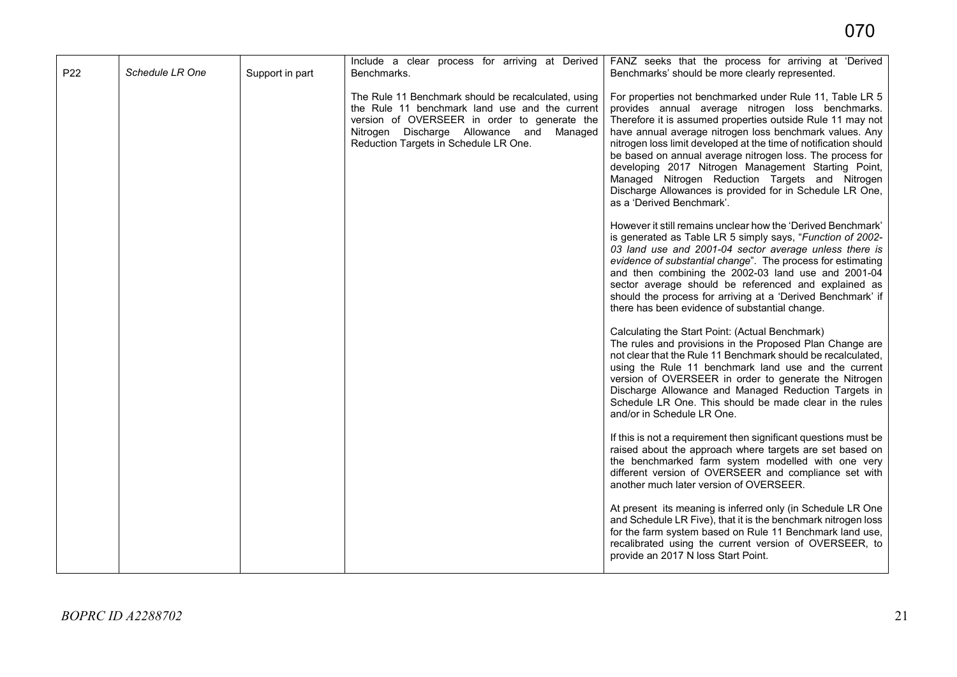|     |                        |                 | Include a clear process for arriving at Derived                                                                                                                                                                                            | FANZ seeks that the process for arriving at 'Derived                                                                                                                                                                                                                                                                                                                                                                                                                                                                                                                       |
|-----|------------------------|-----------------|--------------------------------------------------------------------------------------------------------------------------------------------------------------------------------------------------------------------------------------------|----------------------------------------------------------------------------------------------------------------------------------------------------------------------------------------------------------------------------------------------------------------------------------------------------------------------------------------------------------------------------------------------------------------------------------------------------------------------------------------------------------------------------------------------------------------------------|
| P22 | <b>Schedule LR One</b> | Support in part | Benchmarks.                                                                                                                                                                                                                                | Benchmarks' should be more clearly represented.                                                                                                                                                                                                                                                                                                                                                                                                                                                                                                                            |
|     |                        |                 | The Rule 11 Benchmark should be recalculated, using<br>the Rule 11 benchmark land use and the current<br>version of OVERSEER in order to generate the<br>Nitrogen Discharge Allowance and Managed<br>Reduction Targets in Schedule LR One. | For properties not benchmarked under Rule 11, Table LR 5<br>provides annual average nitrogen loss benchmarks.<br>Therefore it is assumed properties outside Rule 11 may not<br>have annual average nitrogen loss benchmark values. Any<br>nitrogen loss limit developed at the time of notification should<br>be based on annual average nitrogen loss. The process for<br>developing 2017 Nitrogen Management Starting Point,<br>Managed Nitrogen Reduction Targets and Nitrogen<br>Discharge Allowances is provided for in Schedule LR One,<br>as a 'Derived Benchmark'. |
|     |                        |                 |                                                                                                                                                                                                                                            | However it still remains unclear how the 'Derived Benchmark'<br>is generated as Table LR 5 simply says, "Function of 2002-<br>03 land use and 2001-04 sector average unless there is<br>evidence of substantial change". The process for estimating<br>and then combining the 2002-03 land use and 2001-04<br>sector average should be referenced and explained as<br>should the process for arriving at a 'Derived Benchmark' if<br>there has been evidence of substantial change.                                                                                        |
|     |                        |                 |                                                                                                                                                                                                                                            | Calculating the Start Point: (Actual Benchmark)<br>The rules and provisions in the Proposed Plan Change are<br>not clear that the Rule 11 Benchmark should be recalculated,<br>using the Rule 11 benchmark land use and the current<br>version of OVERSEER in order to generate the Nitrogen<br>Discharge Allowance and Managed Reduction Targets in<br>Schedule LR One. This should be made clear in the rules<br>and/or in Schedule LR One.                                                                                                                              |
|     |                        |                 |                                                                                                                                                                                                                                            | If this is not a requirement then significant questions must be<br>raised about the approach where targets are set based on<br>the benchmarked farm system modelled with one very<br>different version of OVERSEER and compliance set with<br>another much later version of OVERSEER.                                                                                                                                                                                                                                                                                      |
|     |                        |                 |                                                                                                                                                                                                                                            | At present its meaning is inferred only (in Schedule LR One<br>and Schedule LR Five), that it is the benchmark nitrogen loss<br>for the farm system based on Rule 11 Benchmark land use,<br>recalibrated using the current version of OVERSEER, to<br>provide an 2017 N loss Start Point.                                                                                                                                                                                                                                                                                  |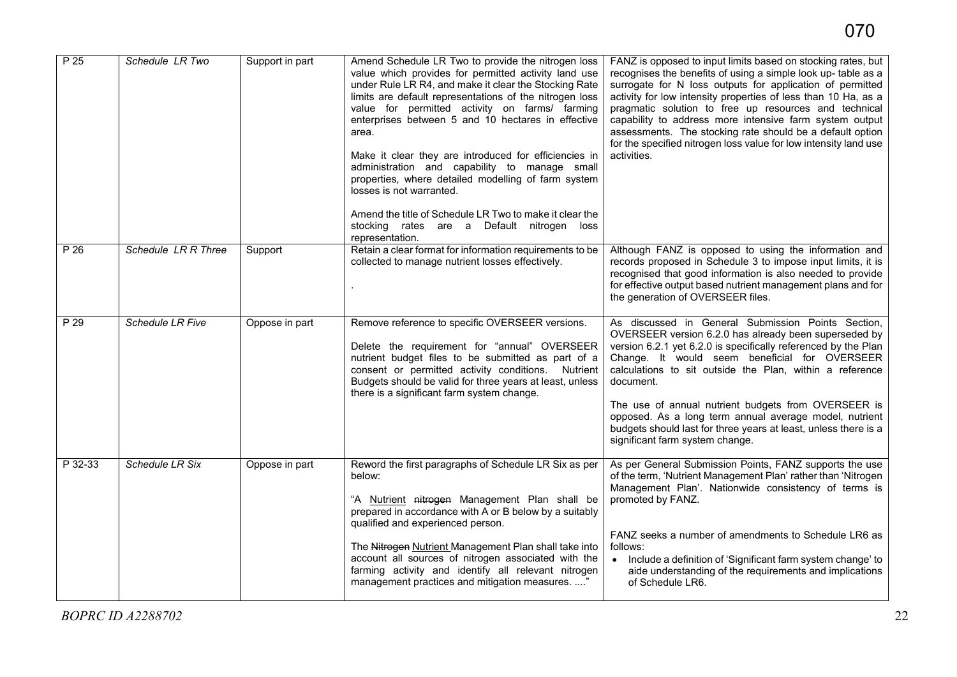| P <sub>25</sub> | Schedule LR Two         | Support in part | Amend Schedule LR Two to provide the nitrogen loss<br>value which provides for permitted activity land use<br>under Rule LR R4, and make it clear the Stocking Rate<br>limits are default representations of the nitrogen loss<br>value for permitted activity on farms/ farming<br>enterprises between 5 and 10 hectares in effective<br>area.<br>Make it clear they are introduced for efficiencies in<br>administration and capability to manage small<br>properties, where detailed modelling of farm system<br>losses is not warranted.<br>Amend the title of Schedule LR Two to make it clear the<br>stocking rates are a Default nitrogen loss<br>representation. | FANZ is opposed to input limits based on stocking rates, but<br>recognises the benefits of using a simple look up- table as a<br>surrogate for N loss outputs for application of permitted<br>activity for low intensity properties of less than 10 Ha, as a<br>pragmatic solution to free up resources and technical<br>capability to address more intensive farm system output<br>assessments. The stocking rate should be a default option<br>for the specified nitrogen loss value for low intensity land use<br>activities. |
|-----------------|-------------------------|-----------------|--------------------------------------------------------------------------------------------------------------------------------------------------------------------------------------------------------------------------------------------------------------------------------------------------------------------------------------------------------------------------------------------------------------------------------------------------------------------------------------------------------------------------------------------------------------------------------------------------------------------------------------------------------------------------|----------------------------------------------------------------------------------------------------------------------------------------------------------------------------------------------------------------------------------------------------------------------------------------------------------------------------------------------------------------------------------------------------------------------------------------------------------------------------------------------------------------------------------|
| P 26            | Schedule LR R Three     | Support         | Retain a clear format for information requirements to be<br>collected to manage nutrient losses effectively.                                                                                                                                                                                                                                                                                                                                                                                                                                                                                                                                                             | Although FANZ is opposed to using the information and<br>records proposed in Schedule 3 to impose input limits, it is<br>recognised that good information is also needed to provide<br>for effective output based nutrient management plans and for<br>the generation of OVERSEER files.                                                                                                                                                                                                                                         |
| P 29            | <b>Schedule LR Five</b> | Oppose in part  | Remove reference to specific OVERSEER versions.<br>Delete the requirement for "annual" OVERSEER<br>nutrient budget files to be submitted as part of a<br>consent or permitted activity conditions. Nutrient<br>Budgets should be valid for three years at least, unless<br>there is a significant farm system change.                                                                                                                                                                                                                                                                                                                                                    | As discussed in General Submission Points Section,<br>OVERSEER version 6.2.0 has already been superseded by<br>version 6.2.1 yet 6.2.0 is specifically referenced by the Plan<br>Change. It would seem beneficial for OVERSEER<br>calculations to sit outside the Plan, within a reference<br>document.                                                                                                                                                                                                                          |
|                 |                         |                 |                                                                                                                                                                                                                                                                                                                                                                                                                                                                                                                                                                                                                                                                          | The use of annual nutrient budgets from OVERSEER is<br>opposed. As a long term annual average model, nutrient<br>budgets should last for three years at least, unless there is a<br>significant farm system change.                                                                                                                                                                                                                                                                                                              |
| P 32-33         | Schedule LR Six         | Oppose in part  | Reword the first paragraphs of Schedule LR Six as per<br>below:<br>"A Nutrient nitrogen Management Plan shall be<br>prepared in accordance with A or B below by a suitably<br>qualified and experienced person.                                                                                                                                                                                                                                                                                                                                                                                                                                                          | As per General Submission Points, FANZ supports the use<br>of the term, 'Nutrient Management Plan' rather than 'Nitrogen<br>Management Plan'. Nationwide consistency of terms is<br>promoted by FANZ.                                                                                                                                                                                                                                                                                                                            |
|                 |                         |                 | The Nitrogen Nutrient Management Plan shall take into<br>account all sources of nitrogen associated with the<br>farming activity and identify all relevant nitrogen<br>management practices and mitigation measures. "                                                                                                                                                                                                                                                                                                                                                                                                                                                   | FANZ seeks a number of amendments to Schedule LR6 as<br>follows:<br>• Include a definition of 'Significant farm system change' to<br>aide understanding of the requirements and implications<br>of Schedule LR6.                                                                                                                                                                                                                                                                                                                 |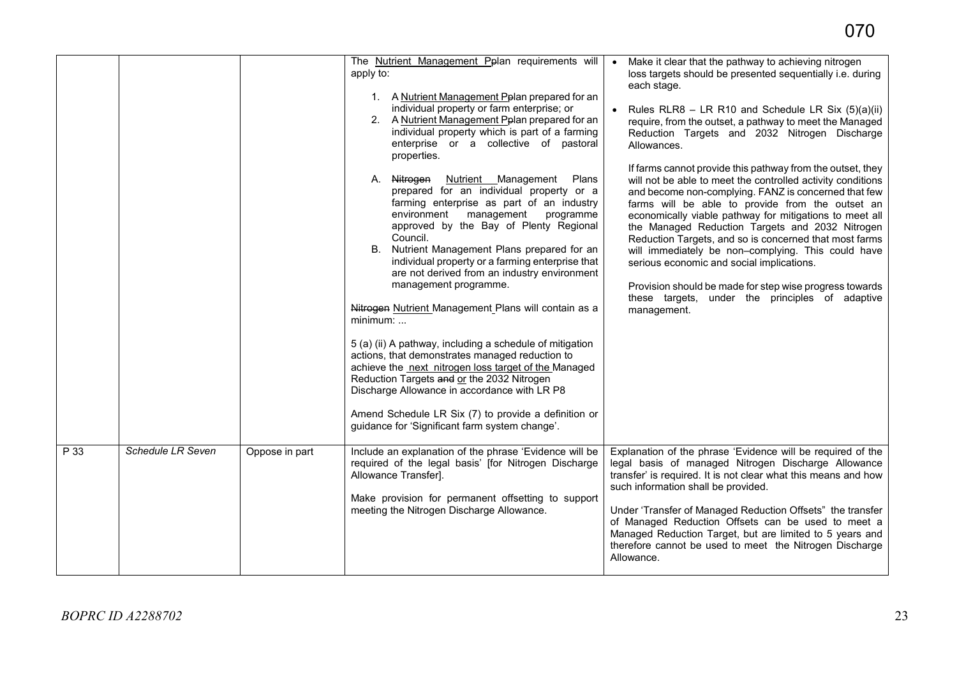|      |                   |                | The Nutrient Management Pplan requirements will<br>apply to:<br>1. A Nutrient Management Pplan prepared for an<br>individual property or farm enterprise; or<br>2. A Nutrient Management Pplan prepared for an<br>individual property which is part of a farming<br>enterprise or a collective of pastoral<br>properties.<br>A. Nitrogen<br><b>Nutrient</b> Management<br>Plans<br>prepared for an individual property or a<br>farming enterprise as part of an industry<br>environment<br>management<br>programme<br>approved by the Bay of Plenty Regional<br>Council.<br>B. Nutrient Management Plans prepared for an<br>individual property or a farming enterprise that<br>are not derived from an industry environment<br>management programme.<br>Nitrogen Nutrient Management Plans will contain as a<br>minimum:<br>5 (a) (ii) A pathway, including a schedule of mitigation<br>actions, that demonstrates managed reduction to<br>achieve the next nitrogen loss target of the Managed<br>Reduction Targets and or the 2032 Nitrogen<br>Discharge Allowance in accordance with LR P8<br>Amend Schedule LR Six (7) to provide a definition or<br>guidance for 'Significant farm system change'. | • Make it clear that the pathway to achieving nitrogen<br>loss targets should be presented sequentially i.e. during<br>each stage.<br>Rules RLR8 - LR R10 and Schedule LR Six (5)(a)(ii)<br>require, from the outset, a pathway to meet the Managed<br>Reduction Targets and 2032 Nitrogen Discharge<br>Allowances.<br>If farms cannot provide this pathway from the outset, they<br>will not be able to meet the controlled activity conditions<br>and become non-complying. FANZ is concerned that few<br>farms will be able to provide from the outset an<br>economically viable pathway for mitigations to meet all<br>the Managed Reduction Targets and 2032 Nitrogen<br>Reduction Targets, and so is concerned that most farms<br>will immediately be non-complying. This could have<br>serious economic and social implications.<br>Provision should be made for step wise progress towards<br>these targets, under the principles of adaptive<br>management. |
|------|-------------------|----------------|----------------------------------------------------------------------------------------------------------------------------------------------------------------------------------------------------------------------------------------------------------------------------------------------------------------------------------------------------------------------------------------------------------------------------------------------------------------------------------------------------------------------------------------------------------------------------------------------------------------------------------------------------------------------------------------------------------------------------------------------------------------------------------------------------------------------------------------------------------------------------------------------------------------------------------------------------------------------------------------------------------------------------------------------------------------------------------------------------------------------------------------------------------------------------------------------------------|----------------------------------------------------------------------------------------------------------------------------------------------------------------------------------------------------------------------------------------------------------------------------------------------------------------------------------------------------------------------------------------------------------------------------------------------------------------------------------------------------------------------------------------------------------------------------------------------------------------------------------------------------------------------------------------------------------------------------------------------------------------------------------------------------------------------------------------------------------------------------------------------------------------------------------------------------------------------|
| P 33 | Schedule LR Seven | Oppose in part | Include an explanation of the phrase 'Evidence will be<br>required of the legal basis' [for Nitrogen Discharge<br>Allowance Transfer].<br>Make provision for permanent offsetting to support<br>meeting the Nitrogen Discharge Allowance.                                                                                                                                                                                                                                                                                                                                                                                                                                                                                                                                                                                                                                                                                                                                                                                                                                                                                                                                                                | Explanation of the phrase 'Evidence will be required of the<br>legal basis of managed Nitrogen Discharge Allowance<br>transfer' is required. It is not clear what this means and how<br>such information shall be provided.<br>Under 'Transfer of Managed Reduction Offsets" the transfer<br>of Managed Reduction Offsets can be used to meet a<br>Managed Reduction Target, but are limited to 5 years and<br>therefore cannot be used to meet the Nitrogen Discharge<br>Allowance.                                                                                                                                                                                                                                                                                                                                                                                                                                                                                 |